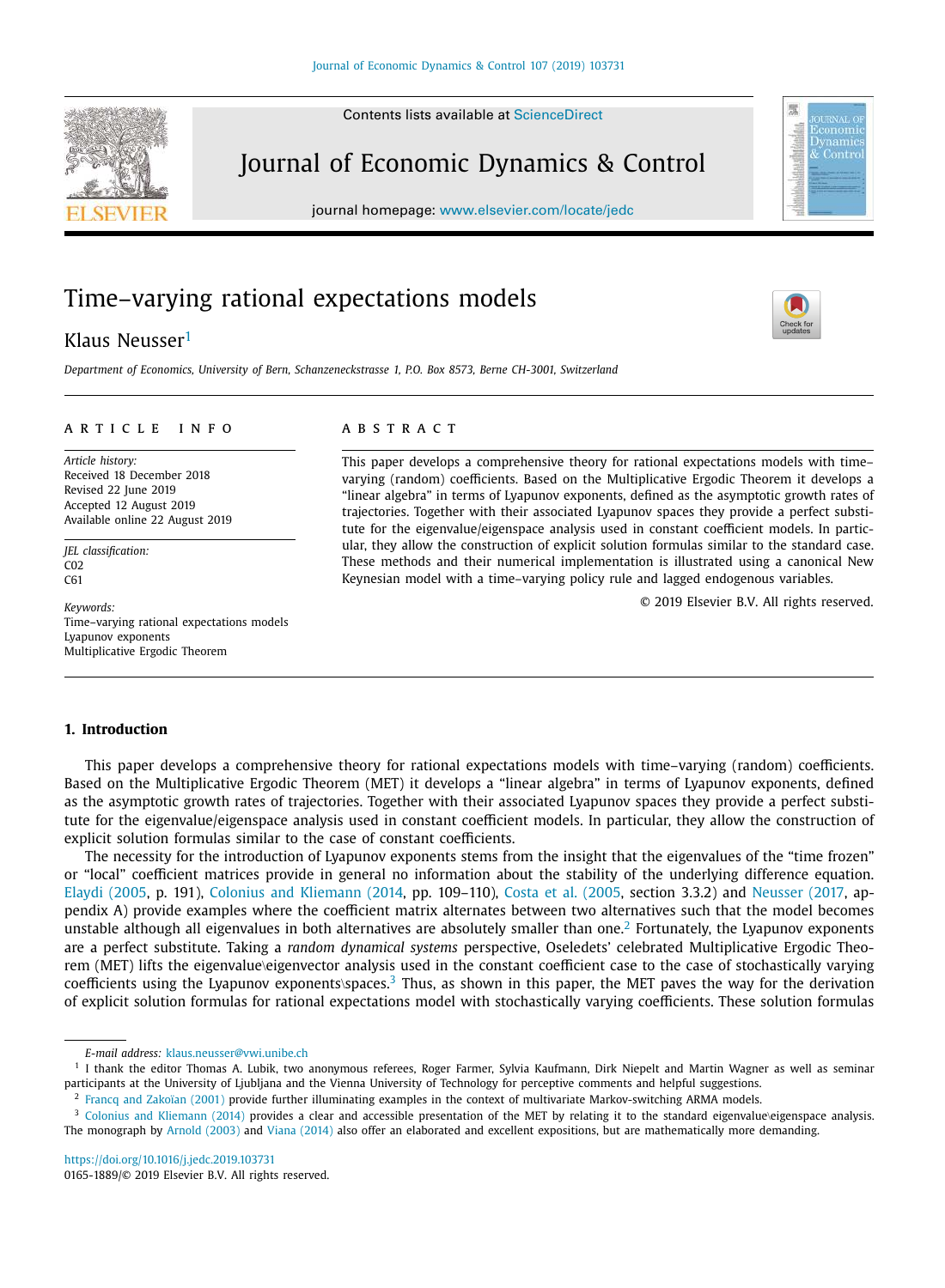Contents lists available at [ScienceDirect](http://www.ScienceDirect.com)

## Journal of Economic Dynamics & Control

journal homepage: [www.elsevier.com/locate/jedc](http://www.elsevier.com/locate/jedc)

# Time–varying rational expectations models

## Klaus Neusser<sup>1</sup>

*Department of Economics, University of Bern, Schanzeneckstrasse 1, P.O. Box 8573, Berne CH-3001, Switzerland*

## a r t i c l e i n f o

*Article history:* Received 18 December 2018 Revised 22 June 2019 Accepted 12 August 2019 Available online 22 August 2019

*JEL classification:* C<sub>02</sub> C61

*Keywords:* Time–varying rational expectations models Lyapunov exponents Multiplicative Ergodic Theorem

## A B S T R A C T

This paper develops a comprehensive theory for rational expectations models with time– varying (random) coefficients. Based on the Multiplicative Ergodic Theorem it develops a "linear algebra" in terms of Lyapunov exponents, defined as the asymptotic growth rates of trajectories. Together with their associated Lyapunov spaces they provide a perfect substitute for the eigenvalue/eigenspace analysis used in constant coefficient models. In particular, they allow the construction of explicit solution formulas similar to the standard case. These methods and their numerical implementation is illustrated using a canonical New Keynesian model with a time–varying policy rule and lagged endogenous variables.

© 2019 Elsevier B.V. All rights reserved.

## **1. Introduction**

This paper develops a comprehensive theory for rational expectations models with time–varying (random) coefficients. Based on the Multiplicative Ergodic Theorem (MET) it develops a "linear algebra" in terms of Lyapunov exponents, defined as the asymptotic growth rates of trajectories. Together with their associated Lyapunov spaces they provide a perfect substitute for the eigenvalue/eigenspace analysis used in constant coefficient models. In particular, they allow the construction of explicit solution formulas similar to the case of constant coefficients.

The necessity for the introduction of Lyapunov exponents stems from the insight that the eigenvalues of the "time frozen" or "local" coefficient matrices provide in general no information about the stability of the underlying difference equation. Elaydi [\(2005,](#page-15-0) p. 191), Colonius and [Kliemann](#page-15-0) (2014, pp. 109–110), Costa et al. [\(2005,](#page-15-0) section 3.3.2) and [Neusser](#page-16-0) (2017, appendix A) provide examples where the coefficient matrix alternates between two alternatives such that the model becomes unstable although all eigenvalues in both alternatives are absolutely smaller than one.<sup>2</sup> Fortunately, the Lyapunov exponents are a perfect substitute. Taking a *random dynamical systems* perspective, Oseledets' celebrated Multiplicative Ergodic Theorem (MET) lifts the eigenvalue\eigenvector analysis used in the constant coefficient case to the case of stochastically varying coefficients using the Lyapunov exponents\spaces.<sup>3</sup> Thus, as shown in this paper, the MET paves the way for the derivation of explicit solution formulas for rational expectations model with stochastically varying coefficients. These solution formulas

<span id="page-0-0"></span>





*E-mail address:* [klaus.neusser@vwi.unibe.ch](mailto:klaus.neusser@vwi.unibe.ch)

<sup>&</sup>lt;sup>1</sup> I thank the editor Thomas A. Lubik, two anonymous referees, Roger Farmer, Sylvia Kaufmann, Dirk Niepelt and Martin Wagner as well as seminar participants at the University of Ljubljana and the Vienna University of Technology for perceptive comments and helpful suggestions.

<sup>&</sup>lt;sup>2</sup> Francq and [Zakoïan](#page-15-0) (2001) provide further illuminating examples in the context of multivariate Markov-switching ARMA models.

<sup>&</sup>lt;sup>3</sup> Colonius and [Kliemann](#page-15-0) (2014) provides a clear and accessible presentation of the MET by relating it to the standard eigenvalue\eigenspace analysis. The monograph by [Arnold](#page-15-0) (2003) and Viana [\(2014\)](#page-16-0) also offer an elaborated and excellent expositions, but are mathematically more demanding.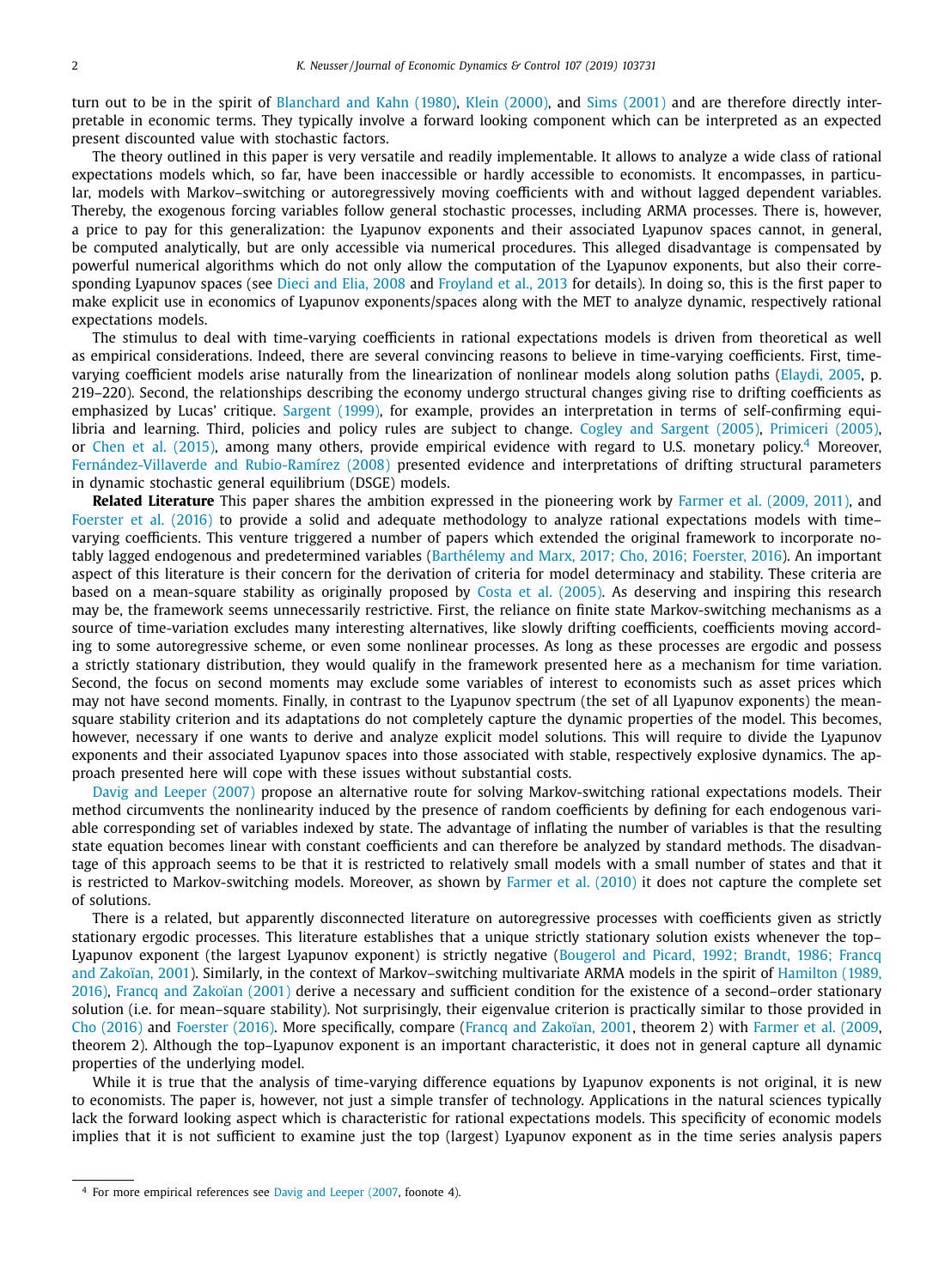turn out to be in the spirit of [Blanchard](#page-15-0) and Kahn (1980), Klein [\(2000\),](#page-15-0) and Sims [\(2001\)](#page-16-0) and are therefore directly interpretable in economic terms. They typically involve a forward looking component which can be interpreted as an expected present discounted value with stochastic factors.

The theory outlined in this paper is very versatile and readily implementable. It allows to analyze a wide class of rational expectations models which, so far, have been inaccessible or hardly accessible to economists. It encompasses, in particular, models with Markov–switching or autoregressively moving coefficients with and without lagged dependent variables. Thereby, the exogenous forcing variables follow general stochastic processes, including ARMA processes. There is, however, a price to pay for this generalization: the Lyapunov exponents and their associated Lyapunov spaces cannot, in general, be computed analytically, but are only accessible via numerical procedures. This alleged disadvantage is compensated by powerful numerical algorithms which do not only allow the computation of the Lyapunov exponents, but also their corresponding Lyapunov spaces (see Dieci and Elia, [2008](#page-15-0) and [Froyland](#page-15-0) et al., 2013 for details). In doing so, this is the first paper to make explicit use in economics of Lyapunov exponents/spaces along with the MET to analyze dynamic, respectively rational expectations models.

The stimulus to deal with time-varying coefficients in rational expectations models is driven from theoretical as well as empirical considerations. Indeed, there are several convincing reasons to believe in time-varying coefficients. First, timevarying coefficient models arise naturally from the linearization of nonlinear models along solution paths [\(Elaydi,](#page-15-0) 2005, p. 219–220). Second, the relationships describing the economy undergo structural changes giving rise to drifting coefficients as emphasized by Lucas' critique. [Sargent](#page-16-0) (1999), for example, provides an interpretation in terms of self-confirming equilibria and learning. Third, policies and policy rules are subject to change. Cogley and [Sargent](#page-15-0) (2005), [Primiceri](#page-16-0) (2005), or Chen et al. [\(2015\),](#page-15-0) among many others, provide empirical evidence with regard to U.S. monetary policy.<sup>4</sup> Moreover, [Fernández-Villaverde](#page-15-0) and Rubio-Ramírez (2008) presented evidence and interpretations of drifting structural parameters in dynamic stochastic general equilibrium (DSGE) models.

**Related Literature** This paper shares the ambition expressed in the pioneering work by [Farmer](#page-15-0) et al. (2009, 2011), and [Foerster](#page-15-0) et al. (2016) to provide a solid and adequate methodology to analyze rational expectations models with time– varying coefficients. This venture triggered a number of papers which extended the original framework to incorporate notably lagged endogenous and predetermined variables [\(Barthélemy](#page-15-0) and Marx, 2017; Cho, 2016; Foerster, 2016). An important aspect of this literature is their concern for the derivation of criteria for model determinacy and stability. These criteria are based on a mean-square stability as originally proposed by Costa et al. [\(2005\).](#page-15-0) As deserving and inspiring this research may be, the framework seems unnecessarily restrictive. First, the reliance on finite state Markov-switching mechanisms as a source of time-variation excludes many interesting alternatives, like slowly drifting coefficients, coefficients moving according to some autoregressive scheme, or even some nonlinear processes. As long as these processes are ergodic and possess a strictly stationary distribution, they would qualify in the framework presented here as a mechanism for time variation. Second, the focus on second moments may exclude some variables of interest to economists such as asset prices which may not have second moments. Finally, in contrast to the Lyapunov spectrum (the set of all Lyapunov exponents) the meansquare stability criterion and its adaptations do not completely capture the dynamic properties of the model. This becomes, however, necessary if one wants to derive and analyze explicit model solutions. This will require to divide the Lyapunov exponents and their associated Lyapunov spaces into those associated with stable, respectively explosive dynamics. The approach presented here will cope with these issues without substantial costs.

Davig and [Leeper](#page-15-0) (2007) propose an alternative route for solving Markov-switching rational expectations models. Their method circumvents the nonlinearity induced by the presence of random coefficients by defining for each endogenous variable corresponding set of variables indexed by state. The advantage of inflating the number of variables is that the resulting state equation becomes linear with constant coefficients and can therefore be analyzed by standard methods. The disadvantage of this approach seems to be that it is restricted to relatively small models with a small number of states and that it is restricted to Markov-switching models. Moreover, as shown by [Farmer](#page-15-0) et al. (2010) it does not capture the complete set of solutions.

There is a related, but apparently disconnected literature on autoregressive processes with coefficients given as strictly stationary ergodic processes. This literature establishes that a unique strictly stationary solution exists whenever the top– Lyapunov exponent (the largest Lyapunov exponent) is strictly negative (Bougerol and Picard, 1992; Brandt, 1986; Francq and Zakoïan, 2001). Similarly, in the context of [Markov–switching](#page-15-0) multivariate ARMA models in the spirit of Hamilton (1989, 2016), Francq and [Zakoïan](#page-15-0) (2001) derive a necessary and sufficient condition for the existence of a second–order stationary solution (i.e. for mean–square stability). Not surprisingly, their eigenvalue criterion is practically similar to those provided in Cho [\(2016\)](#page-15-0) and [Foerster](#page-15-0) (2016). More specifically, compare (Francq and [Zakoïan,](#page-15-0) 2001, theorem 2) with [Farmer](#page-15-0) et al. (2009, theorem 2). Although the top–Lyapunov exponent is an important characteristic, it does not in general capture all dynamic properties of the underlying model.

While it is true that the analysis of time-varying difference equations by Lyapunov exponents is not original, it is new to economists. The paper is, however, not just a simple transfer of technology. Applications in the natural sciences typically lack the forward looking aspect which is characteristic for rational expectations models. This specificity of economic models implies that it is not sufficient to examine just the top (largest) Lyapunov exponent as in the time series analysis papers

<sup>4</sup> For more empirical references see Davig and [Leeper](#page-15-0) (2007, foonote 4).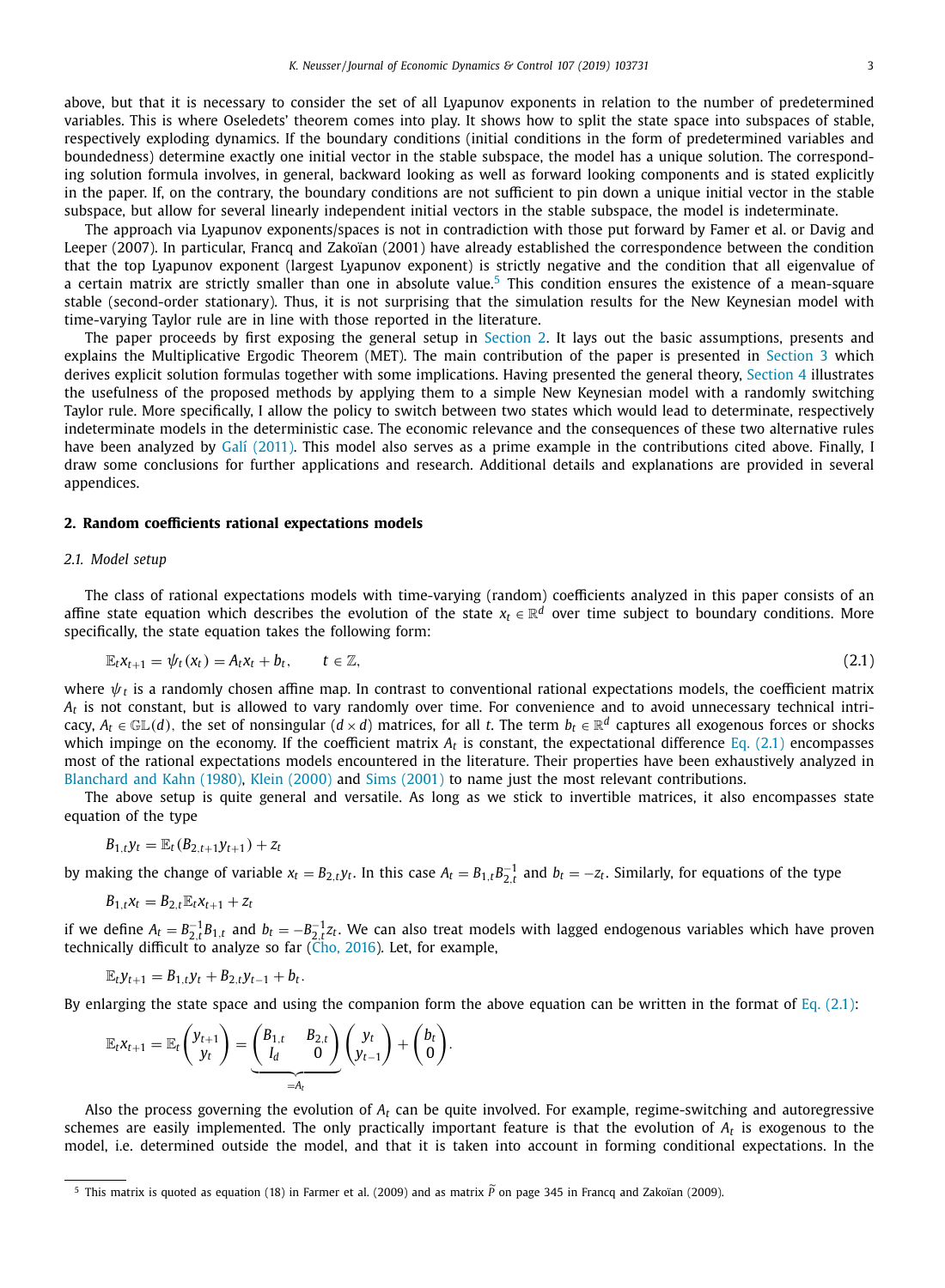<span id="page-2-0"></span>The approach via Lyapunov exponents/spaces is not in contradiction with those put forward by Famer et al. or Davig and Leeper (2007). In particular, Francq and Zakoïan (2001) have already established the correspondence between the condition that the top Lyapunov exponent (largest Lyapunov exponent) is strictly negative and the condition that all eigenvalue of a certain matrix are strictly smaller than one in absolute value.<sup>5</sup> This condition ensures the existence of a mean-square stable (second-order stationary). Thus, it is not surprising that the simulation results for the New Keynesian model with time-varying Taylor rule are in line with those reported in the literature.

The paper proceeds by first exposing the general setup in Section 2. It lays out the basic assumptions, presents and explains the Multiplicative Ergodic Theorem (MET). The main contribution of the paper is presented in [Section](#page-6-0) 3 which derives explicit solution formulas together with some implications. Having presented the general theory, [Section](#page-8-0) 4 illustrates the usefulness of the proposed methods by applying them to a simple New Keynesian model with a randomly switching Taylor rule. More specifically, I allow the policy to switch between two states which would lead to determinate, respectively indeterminate models in the deterministic case. The economic relevance and the consequences of these two alternative rules have been analyzed by [Galí \(2011\).](#page-15-0) This model also serves as a prime example in the contributions cited above. Finally, I draw some conclusions for further applications and research. Additional details and explanations are provided in several appendices.

#### **2. Random coefficients rational expectations models**

## *2.1. Model setup*

The class of rational expectations models with time-varying (random) coefficients analyzed in this paper consists of an affine state equation which describes the evolution of the state  $x_t \in \mathbb{R}^d$  over time subject to boundary conditions. More specifically, the state equation takes the following form:

$$
\mathbb{E}_t x_{t+1} = \psi_t(x_t) = A_t x_t + b_t, \qquad t \in \mathbb{Z}, \tag{2.1}
$$

where  $\psi_t$  is a randomly chosen affine map. In contrast to conventional rational expectations models, the coefficient matrix *At* is not constant, but is allowed to vary randomly over time. For convenience and to avoid unnecessary technical intricacy,  $A_t \in \mathbb{GL}(d)$ , the set of nonsingular  $(d \times d)$  matrices, for all *t*. The term  $b_t \in \mathbb{R}^d$  captures all exogenous forces or shocks which impinge on the economy. If the coefficient matrix  $A_t$  is constant, the expectational difference  $Eq. (2.1)$  encompasses most of the rational expectations models encountered in the literature. Their properties have been exhaustively analyzed in [Blanchard](#page-15-0) and Kahn (1980), Klein [\(2000\)](#page-15-0) and Sims [\(2001\)](#page-16-0) to name just the most relevant contributions.

The above setup is quite general and versatile. As long as we stick to invertible matrices, it also encompasses state equation of the type

$$
B_{1,t}y_t = \mathbb{E}_t(B_{2,t+1}y_{t+1}) + z_t
$$

by making the change of variable  $x_t = B_{2,t}y_t$ . In this case  $A_t = B_{1,t}B_{2,t}^{-1}$  and  $b_t = -z_t$ . Similarly, for equations of the type

$$
B_{1,t}x_t=B_{2,t}\mathbb{E}_t x_{t+1}+z_t
$$

if we define  $A_t = B_{2,t}^{-1}B_{1,t}$  and  $b_t = -B_{2,t}^{-1}z_t$ . We can also treat models with lagged endogenous variables which have proven technically difficult to analyze so far (Cho, [2016\)](#page-15-0). Let, for example,

$$
\mathbb{E}_t y_{t+1} = B_{1,t} y_t + B_{2,t} y_{t-1} + b_t.
$$

By enlarging the state space and using the companion form the above equation can be written in the format of Eq. (2.1):

$$
\mathbb{E}_{t}x_{t+1} = \mathbb{E}_{t}\begin{pmatrix}y_{t+1}\\y_t\end{pmatrix} = \underbrace{\begin{pmatrix}B_{1,t}&B_{2,t}\\I_d&0\end{pmatrix}}_{=A_t}\begin{pmatrix}y_t\\y_{t-1}\end{pmatrix} + \begin{pmatrix}b_t\\0\end{pmatrix}.
$$

Also the process governing the evolution of *A<sup>t</sup>* can be quite involved. For example, regime-switching and autoregressive schemes are easily implemented. The only practically important feature is that the evolution of *A<sup>t</sup>* is exogenous to the model, i.e. determined outside the model, and that it is taken into account in forming conditional expectations. In the

<sup>5</sup> This matrix is quoted as equation (18) in Farmer et al. (2009) and as matrix *P* on page 345 in Francq and Zakoïan (2009).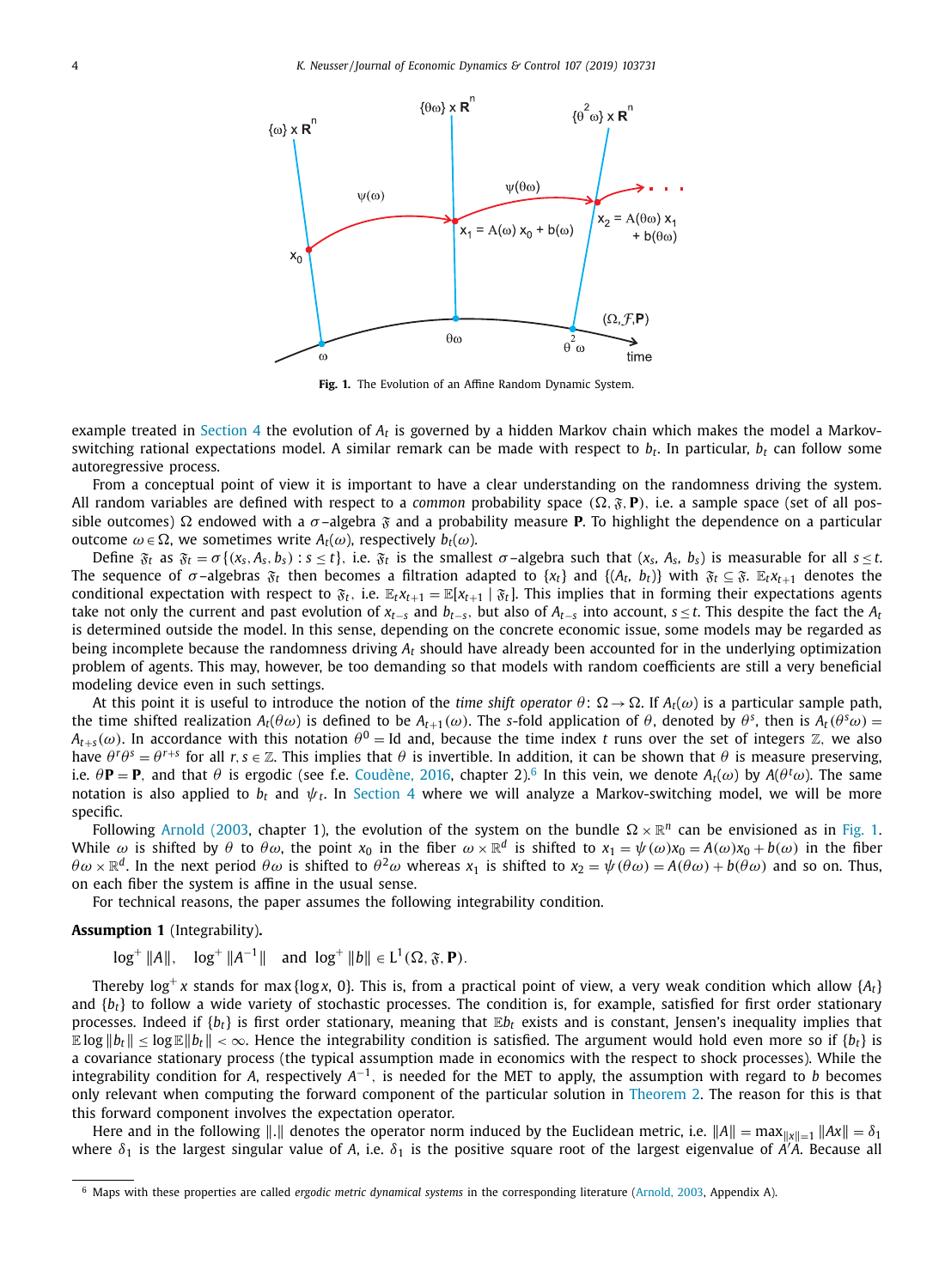<span id="page-3-0"></span>

**Fig. 1.** The Evolution of an Affine Random Dynamic System.

example treated in [Section](#page-8-0) 4 the evolution of *A<sup>t</sup>* is governed by a hidden Markov chain which makes the model a Markovswitching rational expectations model. A similar remark can be made with respect to *b<sup>t</sup>* . In particular, *b<sup>t</sup>* can follow some autoregressive process.

From a conceptual point of view it is important to have a clear understanding on the randomness driving the system. All random variables are defined with respect to a *common* probability space  $(\Omega, \mathfrak{F}, P)$ , i.e. a sample space (set of all possible outcomes)  $\Omega$  endowed with a  $\sigma$ -algebra  $\mathfrak{F}$  and a probability measure **P**. To highlight the dependence on a particular outcome  $ω ∈ Ω$ , we sometimes write  $A<sub>t</sub>(ω)$ , respectively  $b<sub>t</sub>(ω)$ .

Define  $\mathfrak{F}_t$  as  $\mathfrak{F}_t = \sigma\{(x_s, A_s, b_s) : s \leq t\}$ , i.e.  $\mathfrak{F}_t$  is the smallest  $\sigma$ -algebra such that  $(x_s, A_s, b_s)$  is measurable for all  $s \leq t$ . The sequence of  $\sigma$ -algebras  $\mathfrak{F}_t$  then becomes a filtration adapted to  $\{x_t\}$  and  $\{(A_t, b_t)\}$  with  $\mathfrak{F}_t \subseteq \mathfrak{F}$ .  $\mathbb{E}_t x_{t+1}$  denotes the conditional expectation with respect to  $\mathfrak{F}_t$ , i.e.  $\mathbb{E}_t x_{t+1} = \mathbb{E}[x_{t+1} | \mathfrak{F}_t]$ . This implies that in forming their expectations agents take not only the current and past evolution of *xt*−*<sup>s</sup>* and *bt*−*s*, but also of *At*−*<sup>s</sup>* into account, *s* ≤ *t*. This despite the fact the *A<sup>t</sup>* is determined outside the model. In this sense, depending on the concrete economic issue, some models may be regarded as being incomplete because the randomness driving *A<sup>t</sup>* should have already been accounted for in the underlying optimization problem of agents. This may, however, be too demanding so that models with random coefficients are still a very beneficial modeling device even in such settings.

At this point it is useful to introduce the notion of the *time shift operator*  $\theta$ :  $\Omega \to \Omega$ . If  $A_t(\omega)$  is a particular sample path, the time shifted realization  $A_t(\theta \omega)$  is defined to be  $A_{t+1}(\omega)$ . The *s*-fold application of  $\theta$ , denoted by  $\theta^s$ , then is  $A_t(\theta^s \omega)$  =  $A_{t+s}(\omega)$ . In accordance with this notation  $\theta^0 =$  Id and, because the time index *t* runs over the set of integers Z, we also have  $\theta^r\theta^s = \theta^{r+s}$  for all  $r, s \in \mathbb{Z}$ . This implies that  $\theta$  is invertible. In addition, it can be shown that  $\theta$  is measure preserving, i.e.  $\theta$ **P** = **P**, and that  $\theta$  is ergodic (see f.e. [Coudène,](#page-15-0) 2016, chapter 2).<sup>6</sup> In this vein, we denote  $A_t(\omega)$  by  $A(\theta^t\omega)$ . The same notation is also applied to  $b_t$  and  $\psi_t$ . In [Section](#page-8-0) 4 where we will analyze a Markov-switching model, we will be more specific.

Following [Arnold](#page-15-0) (2003, chapter 1), the evolution of the system on the bundle  $\Omega \times \mathbb{R}^n$  can be envisioned as in Fig. 1. While  $\omega$  is shifted by  $\theta$  to  $\theta\omega$ , the point  $x_0$  in the fiber  $\omega \times \mathbb{R}^d$  is shifted to  $x_1 = \psi(\omega)x_0 = A(\omega)x_0 + b(\omega)$  in the fiber  $\theta\omega\times\mathbb{R}^d$ . In the next period  $\theta\omega$  is shifted to  $\theta^2\omega$  whereas  $x_1$  is shifted to  $x_2=\psi(\theta\omega)=A(\theta\omega)+b(\theta\omega)$  and so on. Thus, on each fiber the system is affine in the usual sense.

For technical reasons, the paper assumes the following integrability condition.

#### **Assumption 1** (Integrability)**.**

 $\log^+ \|A\|$ ,  $\log^+ \|A^{-1}\|$  and  $\log^+ \|b\| \in L^1(\Omega, \mathfrak{F}, \mathbf{P})$ .

Thereby log $^+$ x stands for max{log*x*, 0}. This is, from a practical point of view, a very weak condition which allow { $A_t$ } and  $\{b_t\}$  to follow a wide variety of stochastic processes. The condition is, for example, satisfied for first order stationary processes. Indeed if {*bt*} is first order stationary, meaning that E*b<sup>t</sup>* exists and is constant, Jensen's inequality implies that  $\mathbb{E} \log \|b_t\| \leq \log \mathbb{E} \|b_t\| < \infty$ . Hence the integrability condition is satisfied. The argument would hold even more so if  $\{b_t\}$  is a covariance stationary process (the typical assumption made in economics with the respect to shock processes). While the integrability condition for *A*, respectively  $A^{-1}$ , is needed for the MET to apply, the assumption with regard to *b* becomes only relevant when computing the forward component of the particular solution in [Theorem](#page-7-0) 2. The reason for this is that this forward component involves the expectation operator.

Here and in the following  $\|\cdot\|$  denotes the operator norm induced by the Euclidean metric, i.e.  $\|A\| = \max_{\|x\|=1} \|Ax\| = \delta_1$ where  $\delta_1$  is the largest singular value of A, i.e.  $\delta_1$  is the positive square root of the largest eigenvalue of A<sup>'</sup>A. Because all

<sup>6</sup> Maps with these properties are called *ergodic metric dynamical systems* in the corresponding literature [\(Arnold,](#page-15-0) 2003, Appendix A).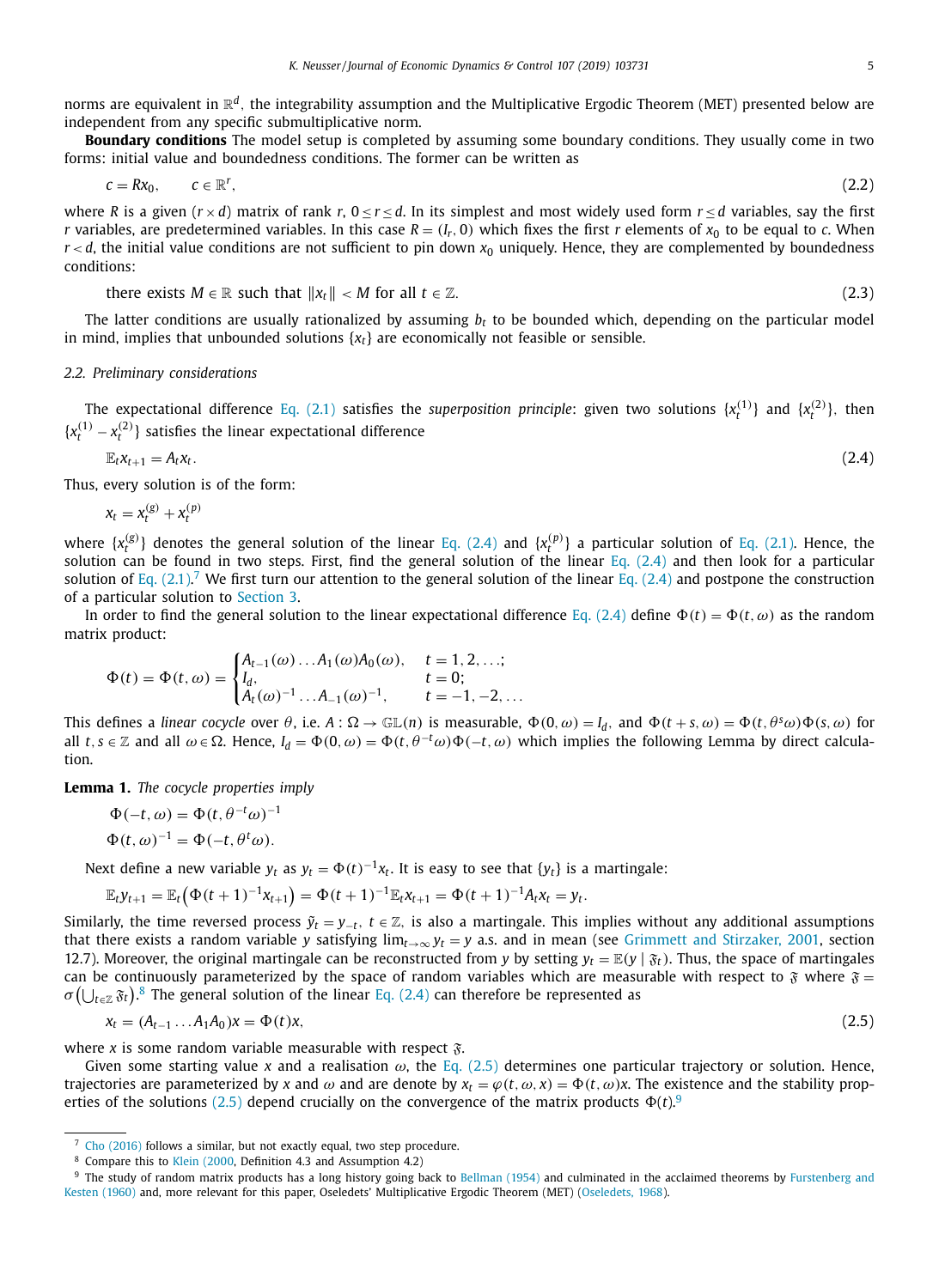<span id="page-4-0"></span>norms are equivalent in  $\mathbb{R}^d$ , the integrability assumption and the Multiplicative Ergodic Theorem (MET) presented below are independent from any specific submultiplicative norm.

**Boundary conditions** The model setup is completed by assuming some boundary conditions. They usually come in two forms: initial value and boundedness conditions. The former can be written as

$$
c = Rx_0, \qquad c \in \mathbb{R}^r, \tag{2.2}
$$

where *R* is a given  $(r \times d)$  matrix of rank  $r, 0 \le r \le d$ . In its simplest and most widely used form  $r \le d$  variables, say the first *r* variables, are predetermined variables. In this case  $R = (I_r, 0)$  which fixes the first *r* elements of  $x_0$  to be equal to *c*. When  $r < d$ , the initial value conditions are not sufficient to pin down  $x_0$  uniquely. Hence, they are complemented by boundedness conditions:

there exists 
$$
M \in \mathbb{R}
$$
 such that  $||x_t|| < M$  for all  $t \in \mathbb{Z}$ . (2.3)

The latter conditions are usually rationalized by assuming *b<sup>t</sup>* to be bounded which, depending on the particular model in mind, implies that unbounded solutions  $\{x_t\}$  are economically not feasible or sensible.

## *2.2. Preliminary considerations*

The expectational difference Eq. [\(2.1\)](#page-2-0) satisfies the *superposition principle*: given two solutions  $\{x_t^{(1)}\}$  and  $\{x_t^{(2)}\}$ , then  ${x_t^{(1)} - x_t^{(2)}}$  satisfies the linear expectational difference

$$
\mathbb{E}_{t}x_{t+1}=A_{t}x_{t}.\tag{2.4}
$$

Thus, every solution is of the form:

$$
x_t = x_t^{(g)} + x_t^{(p)}
$$

where  $\{x_t^{(g)}\}$  denotes the general solution of the linear Eq. (2.4) and  $\{x_t^{(p)}\}$  a particular solution of Eq. [\(2.1\).](#page-2-0) Hence, the solution can be found in two steps. First, find the general solution of the linear Eq.  $(2.4)$  and then look for a particular solution of Eq.  $(2.1)$ .<sup>7</sup> We first turn our attention to the general solution of the linear Eq.  $(2.4)$  and postpone the construction of a particular solution to [Section](#page-6-0) 3.

In order to find the general solution to the linear expectational difference Eq. (2.4) define  $\Phi(t) = \Phi(t, \omega)$  as the random matrix product:

$$
\Phi(t) = \Phi(t, \omega) = \begin{cases} A_{t-1}(\omega) \dots A_1(\omega) A_0(\omega), & t = 1, 2, \dots; \\ I_d, & t = 0; \\ A_t(\omega)^{-1} \dots A_{-1}(\omega)^{-1}, & t = -1, -2, \dots \end{cases}
$$

This defines a *linear cocycle* over  $\theta$ , i.e.  $A: \Omega \to \mathbb{GL}(n)$  is measurable,  $\Phi(0, \omega) = I_d$ , and  $\Phi(t + s, \omega) = \Phi(t, \theta^s \omega) \Phi(s, \omega)$  for all  $t, s \in \mathbb{Z}$  and all  $\omega \in \Omega$ . Hence,  $I_d = \Phi(0, \omega) = \Phi(t, \theta^{-t}\omega)\Phi(-t, \omega)$  which implies the following Lemma by direct calculation.

**Lemma 1.** *The cocycle properties imply*

$$
\Phi(-t, \omega) = \Phi(t, \theta^{-t}\omega)^{-1}
$$

$$
\Phi(t, \omega)^{-1} = \Phi(-t, \theta^t\omega).
$$

Next define a new variable  $y_t$  as  $y_t = \Phi(t)^{-1}x_t$ . It is easy to see that  $\{y_t\}$  is a martingale:

$$
\mathbb{E}_t y_{t+1} = \mathbb{E}_t (\Phi(t+1)^{-1} x_{t+1}) = \Phi(t+1)^{-1} \mathbb{E}_t x_{t+1} = \Phi(t+1)^{-1} A_t x_t = y_t.
$$

Similarly, the time reversed process  $\tilde{y}_t = y_{-t}$ ,  $t \in \mathbb{Z}$ , is also a martingale. This implies without any additional assumptions that there exists a random variable *y* satisfying  $\lim_{t\to\infty} y_t = y$  a.s. and in mean (see [Grimmett](#page-15-0) and Stirzaker, 2001, section 12.7). Moreover, the original martingale can be reconstructed from *y* by setting  $y_t = \mathbb{E}(y | \mathfrak{F}_t)$ . Thus, the space of martingales can be continuously parameterized by the space of random variables which are measurable with respect to  $\mathfrak F$  where  $\mathfrak F$  =  $\sigma(\bigcup_{t\in\mathbb{Z}}\mathfrak{F}_t)^8$  The general solution of the linear Eq. (2.4) can therefore be represented as

$$
x_t = (A_{t-1} \dots A_1 A_0) x = \Phi(t) x,\tag{2.5}
$$

where *x* is some random variable measurable with respect  $\tilde{x}$ .

Given some starting value x and a realisation  $\omega$ , the Eq. (2.5) determines one particular trajectory or solution. Hence, trajectories are parameterized by x and  $\omega$  and are denote by  $x_t = \varphi(t, \omega, x) = \Phi(t, \omega)x$ . The existence and the stability properties of the solutions (2.5) depend crucially on the convergence of the matrix products  $\Phi(t)$ .<sup>9</sup>

<sup>7</sup> Cho [\(2016\)](#page-15-0) follows a similar, but not exactly equal, two step procedure.

<sup>8</sup> Compare this to Klein [\(2000,](#page-15-0) Definition 4.3 and Assumption 4.2)

<sup>&</sup>lt;sup>9</sup> The study of random matrix products has a long history going back to [Bellman](#page-15-0) (1954) and culminated in the acclaimed theorems by Furstenberg and Kesten (1960) and, more relevant for this paper, Oseledets' [Multiplicative](#page-15-0) Ergodic Theorem (MET) [\(Oseledets,](#page-16-0) 1968).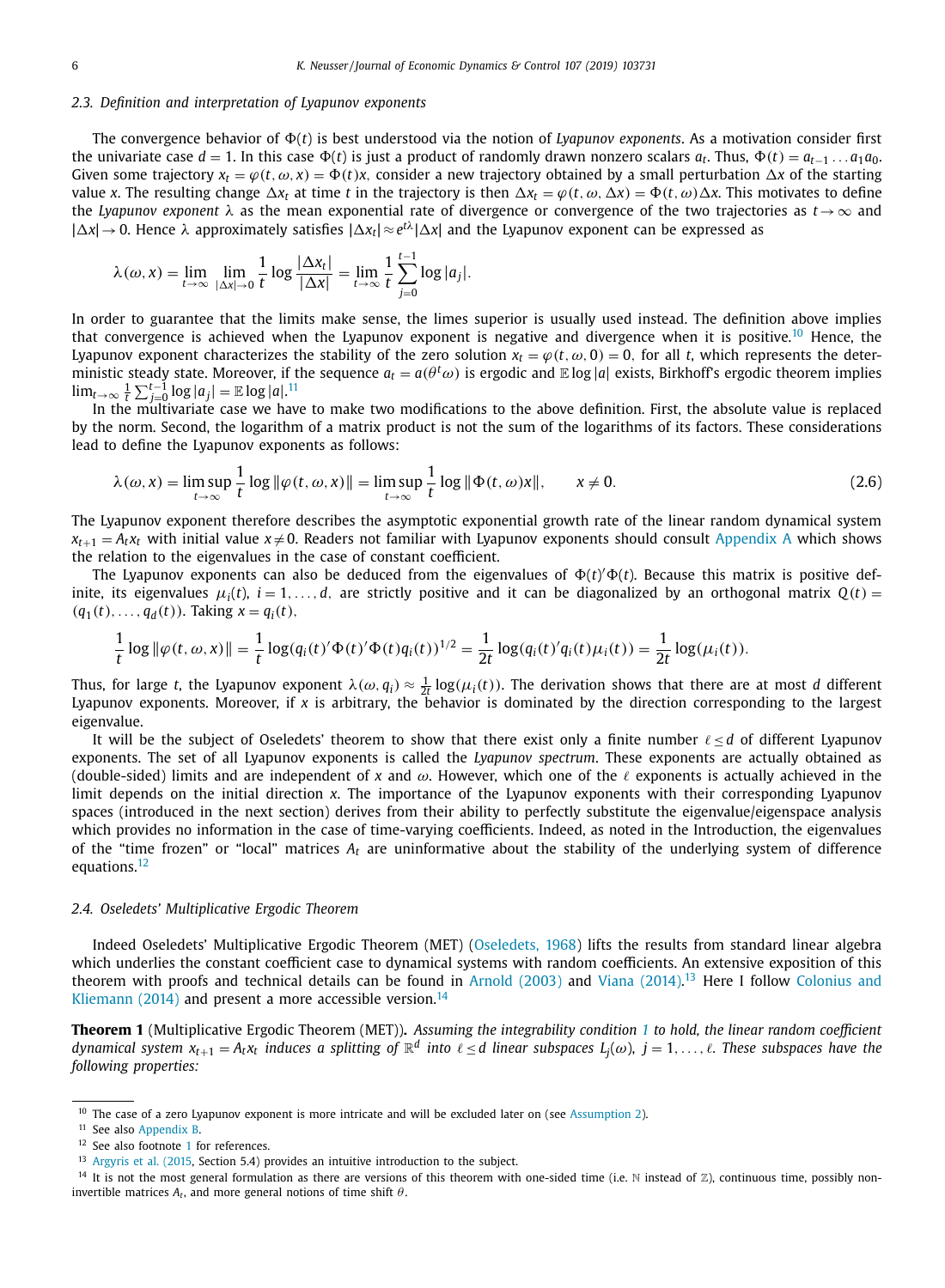## <span id="page-5-0"></span>*2.3. Definition and interpretation of Lyapunov exponents*

The convergence behavior of  $\Phi(t)$  is best understood via the notion of *Lyapunov exponents*. As a motivation consider first the univariate case  $d = 1$ . In this case  $\Phi(t)$  is just a product of randomly drawn nonzero scalars  $a_t$ . Thus,  $\Phi(t) = a_{t-1} \ldots a_1 a_0$ . Given some trajectory  $x_t = \varphi(t, \omega, x) = \Phi(t)x$ , consider a new trajectory obtained by a small perturbation  $\Delta x$  of the starting value *x*. The resulting change  $\Delta x_t$  at time *t* in the trajectory is then  $\Delta x_t = \varphi(t, \omega, \Delta x) = \Phi(t, \omega) \Delta x$ . This motivates to define the *Lyapunov exponent* λ as the mean exponential rate of divergence or convergence of the two trajectories as *t*→∞ and  $|\Delta x|$  → 0. Hence  $\lambda$  approximately satisfies  $|\Delta x_t| \approx e^{t\lambda} |\Delta x|$  and the Lyapunov exponent can be expressed as

$$
\lambda(\omega, x) = \lim_{t \to \infty} \lim_{|\Delta x| \to 0} \frac{1}{t} \log \frac{|\Delta x_t|}{|\Delta x|} = \lim_{t \to \infty} \frac{1}{t} \sum_{j=0}^{t-1} \log |a_j|.
$$

In order to guarantee that the limits make sense, the limes superior is usually used instead. The definition above implies that convergence is achieved when the Lyapunov exponent is negative and divergence when it is positive.<sup>10</sup> Hence, the Lyapunov exponent characterizes the stability of the zero solution  $x_t = \varphi(t, \omega, 0) = 0$ , for all *t*, which represents the deterministic steady state. Moreover, if the sequence  $a_t=a(\theta^t\omega)$  is ergodic and  $\mathbb E\log|a|$  exists, Birkhoff's ergodic theorem implies  $\lim_{t\to\infty} \frac{1}{t} \sum_{j=0}^{t-1} \log |a_j| = \mathbb{E} \log |a|$ .<sup>11</sup>

In the multivariate case we have to make two modifications to the above definition. First, the absolute value is replaced by the norm. Second, the logarithm of a matrix product is not the sum of the logarithms of its factors. These considerations lead to define the Lyapunov exponents as follows:

$$
\lambda(\omega, x) = \limsup_{t \to \infty} \frac{1}{t} \log \|\varphi(t, \omega, x)\| = \limsup_{t \to \infty} \frac{1}{t} \log \|\Phi(t, \omega)x\|, \qquad x \neq 0.
$$
\n(2.6)

The Lyapunov exponent therefore describes the asymptotic exponential growth rate of the linear random dynamical system  $x_{t+1} = A_t x_t$  with initial value  $x \neq 0$ . Readers not familiar with Lyapunov exponents should consult [Appendix](#page-11-0) A which shows the relation to the eigenvalues in the case of constant coefficient.

The Lyapunov exponents can also be deduced from the eigenvalues of  $\Phi(t)' \Phi(t)$ . Because this matrix is positive definite, its eigenvalues  $\mu_i(t)$ ,  $i = 1, \ldots, d$ , are strictly positive and it can be diagonalized by an orthogonal matrix  $Q(t)$  $(q_1(t),..., q_d(t))$ . Taking  $x = q_i(t)$ ,

$$
\frac{1}{t} \log \|\varphi(t,\omega,x)\| = \frac{1}{t} \log(q_i(t)'\Phi(t)'\Phi(t)q_i(t))^{1/2} = \frac{1}{2t} \log(q_i(t)'\eta_i(t)\mu_i(t)) = \frac{1}{2t} \log(\mu_i(t)).
$$

Thus, for large *t*, the Lyapunov exponent  $\lambda(\omega,q_i)\approx\frac{1}{2t}\log(\mu_i(t))$ . The derivation shows that there are at most *d* different Lyapunov exponents. Moreover, if *x* is arbitrary, the behavior is dominated by the direction corresponding to the largest eigenvalue.

It will be the subject of Oseledets' theorem to show that there exist only a finite number ℓ ≤ *d* of different Lyapunov exponents. The set of all Lyapunov exponents is called the *Lyapunov spectrum*. These exponents are actually obtained as (double-sided) limits and are independent of x and  $\omega$ . However, which one of the  $\ell$  exponents is actually achieved in the limit depends on the initial direction *x*. The importance of the Lyapunov exponents with their corresponding Lyapunov spaces (introduced in the next section) derives from their ability to perfectly substitute the eigenvalue/eigenspace analysis which provides no information in the case of time-varying coefficients. Indeed, as noted in the Introduction, the eigenvalues of the "time frozen" or "local" matrices *A<sup>t</sup>* are uninformative about the stability of the underlying system of difference equations.<sup>12</sup>

#### *2.4. Oseledets' Multiplicative Ergodic Theorem*

Indeed Oseledets' Multiplicative Ergodic Theorem (MET) [\(Oseledets,](#page-16-0) 1968) lifts the results from standard linear algebra which underlies the constant coefficient case to dynamical systems with random coefficients. An extensive exposition of this theorem with proofs and technical details can be found in [Arnold](#page-15-0) (2003) and Viana [\(2014\).](#page-16-0)<sup>13</sup> Here I follow Colonius and Kliemann (2014) and present a more [accessible](#page-15-0) version.<sup>14</sup>

**Theorem [1](#page-3-0)** (Multiplicative Ergodic Theorem (MET)). Assuming the integrability condition 1 to hold, the linear random coefficient dynamical system  $x_{t+1}=A_t x_t$  induces a splitting of  $\R^d$  into  $\ell\leq d$  linear subspaces  $L_j(\omega)$ ,  $j=1,\ldots,\ell.$  These subspaces have the *following properties:*

<sup>&</sup>lt;sup>10</sup> The case of a zero Lyapunov exponent is more intricate and will be excluded later on (see [Assumption](#page-6-0) 2).

<sup>11</sup> See also [Appendix](#page-12-0) B.

<sup>&</sup>lt;sup>[1](#page-0-0)2</sup> See also footnote 1 for references.

<sup>13</sup> [Argyris](#page-15-0) et al. (2015, Section 5.4) provides an intuitive introduction to the subject.

<sup>&</sup>lt;sup>14</sup> It is not the most general formulation as there are versions of this theorem with one-sided time (i.e. N instead of  $\mathbb{Z}$ ), continuous time, possibly noninvertible matrices  $A_t$ , and more general notions of time shift  $\theta$ .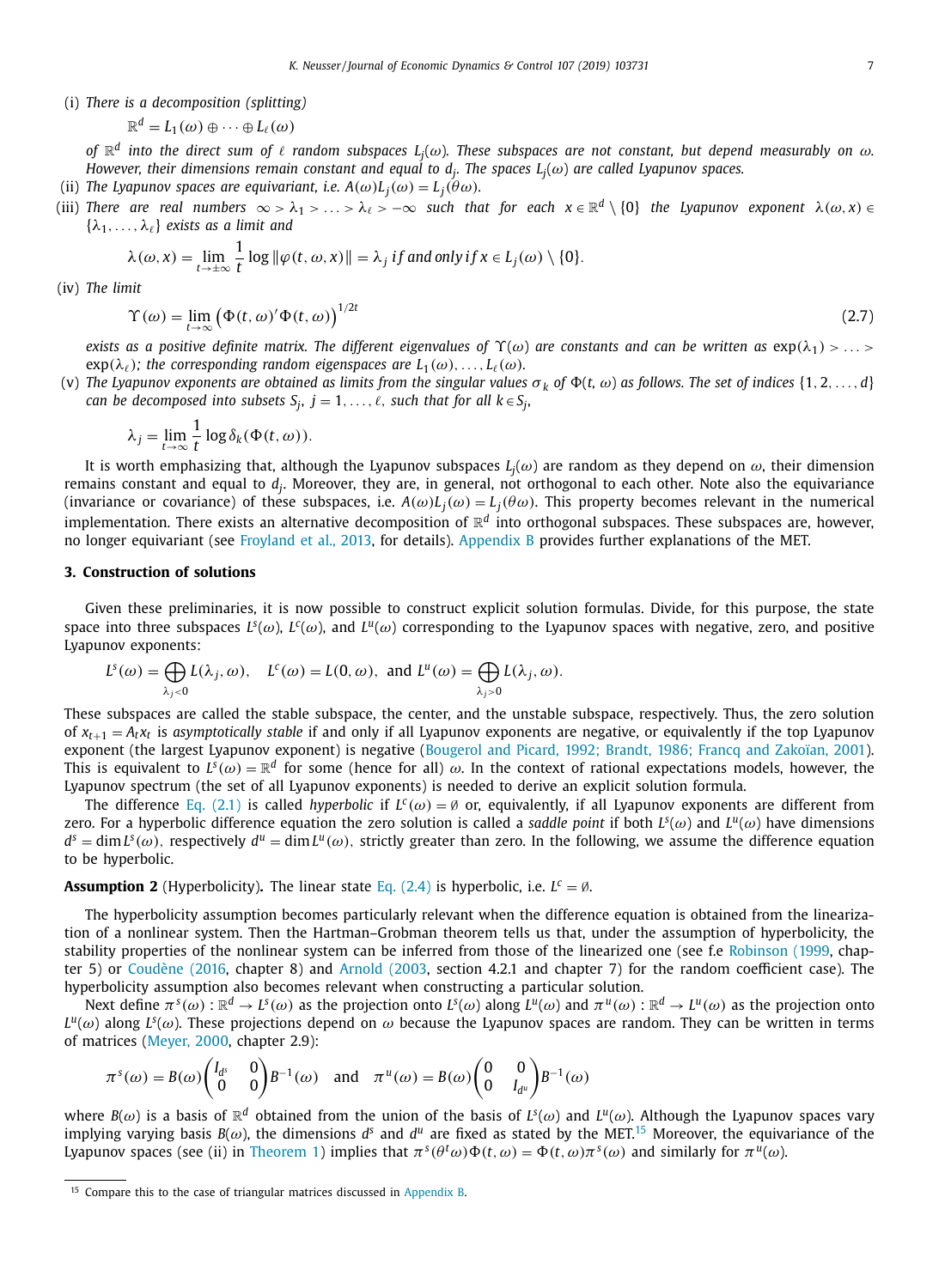<span id="page-6-0"></span>(i) *There is a decomposition (splitting)*

$$
\mathbb{R}^d = L_1(\omega) \oplus \cdots \oplus L_\ell(\omega)
$$

of  $\R^d$  into the direct sum of  $\ell$  random subspaces  $L_j(\omega)$ . These subspaces are not constant, but depend measurably on  $\omega$ . However, their dimensions remain constant and equal to  $d_j$ . The spaces  $L_j(\omega)$  are called Lyapunov spaces.

- (ii) The Lyapunov spaces are equivariant, i.e.  $A(\omega)L_j(\omega) = L_j(\theta \omega)$ .
- (iii) There are real numbers  $\infty > \lambda_1 > \ldots > \lambda_\ell > -\infty$  such that for each  $x\in\R^d\setminus\{0\}$  the Lyapunov exponent  $\lambda(\omega,x)\in\R$  $\{\lambda_1, \ldots, \lambda_\ell\}$  *exists as a limit and*

$$
\lambda(\omega, x) = \lim_{t \to \pm \infty} \frac{1}{t} \log \|\varphi(t, \omega, x)\| = \lambda_j \text{ if and only if } x \in L_j(\omega) \setminus \{0\}.
$$

(iv) *The limit*

$$
\Upsilon(\omega) = \lim_{t \to \infty} \left( \Phi(t, \omega)' \Phi(t, \omega) \right)^{1/2t} \tag{2.7}
$$

exists as a positive definite matrix. The different eigenvalues of  $\Upsilon(\omega)$  are constants and can be written as  $\exp(\lambda_1) > ... >$  $\exp(\lambda_\ell)$ ; the corresponding random eigenspaces are  $L_1(\omega), \ldots, L_\ell(\omega)$ .

(v) The Lyapunov exponents are obtained as limits from the singular values  $\sigma_k$  of  $\Phi(t, \omega)$  as follows. The set of indices {1, 2, ..., d}  $c$  *can be decomposed into subsets*  $S_j, \ j = 1, \ldots, \ell,$  *such that for all*  $k \in S_j,$ 

$$
\lambda_j = \lim_{t \to \infty} \frac{1}{t} \log \delta_k(\Phi(t, \omega)).
$$

It is worth emphasizing that, although the Lyapunov subspaces  $L_j(\omega)$  are random as they depend on  $\omega$ , their dimension remains constant and equal to  $d_j$ . Moreover, they are, in general, not orthogonal to each other. Note also the equivariance (invariance or covariance) of these subspaces, i.e.  $A(\omega)L_j(\omega)=L_j(\theta\omega)$ . This property becomes relevant in the numerical implementation. There exists an alternative decomposition of  $\mathbb{R}^d$  into orthogonal subspaces. These subspaces are, however, no longer equivariant (see [Froyland](#page-15-0) et al., 2013, for details). [Appendix](#page-12-0) B provides further explanations of the MET.

## **3. Construction of solutions**

Given these preliminaries, it is now possible to construct explicit solution formulas. Divide, for this purpose, the state space into three subspaces  $L^s(\omega)$ ,  $L^c(\omega)$ , and  $L^u(\omega)$  corresponding to the Lyapunov spaces with negative, zero, and positive Lyapunov exponents:

$$
L^{s}(\omega) = \bigoplus_{\lambda_{j} < 0} L(\lambda_{j}, \omega), \quad L^{c}(\omega) = L(0, \omega), \text{ and } L^{u}(\omega) = \bigoplus_{\lambda_{j} > 0} L(\lambda_{j}, \omega).
$$

These subspaces are called the stable subspace, the center, and the unstable subspace, respectively. Thus, the zero solution of  $x_{t+1} = A_t x_t$  is asymptotically stable if and only if all Lyapunov exponents are negative, or equivalently if the top Lyapunov exponent (the largest Lyapunov exponent) is negative [\(Bougerol](#page-15-0) and Picard, 1992; Brandt, 1986; Francq and Zakoïan, 2001). This is equivalent to  $L^s(\omega) = \mathbb{R}^d$  for some (hence for all)  $\omega$ . In the context of rational expectations models, however, the Lyapunov spectrum (the set of all Lyapunov exponents) is needed to derive an explicit solution formula.

The difference Eq. [\(2.1\)](#page-2-0) is called *hyperbolic* if  $L^c(\omega) = \emptyset$  or, equivalently, if all Lyapunov exponents are different from zero. For a hyperbolic difference equation the zero solution is called a *saddle point* if both  $L^s(\omega)$  and  $L^u(\omega)$  have dimensions  $d^s = \dim L^s(\omega)$ , respectively  $d^u = \dim L^u(\omega)$ , strictly greater than zero. In the following, we assume the difference equation to be hyperbolic.

**Assumption 2** (Hyperbolicity). The linear state Eq.  $(2.4)$  is hyperbolic, i.e.  $L^c = \emptyset$ .

The hyperbolicity assumption becomes particularly relevant when the difference equation is obtained from the linearization of a nonlinear system. Then the Hartman–Grobman theorem tells us that, under the assumption of hyperbolicity, the stability properties of the nonlinear system can be inferred from those of the linearized one (see f.e [Robinson](#page-16-0) (1999, chapter 5) or [Coudène](#page-15-0) (2016, chapter 8) and [Arnold](#page-15-0) (2003, section 4.2.1 and chapter 7) for the random coefficient case). The hyperbolicity assumption also becomes relevant when constructing a particular solution.

Next define  $\pi^{s}(\omega)$  :  $\mathbb{R}^{d} \to L^{s}(\omega)$  as the projection onto  $L^{s}(\omega)$  along  $L^{u}(\omega)$  and  $\pi^{u}(\omega)$  :  $\mathbb{R}^{d} \to L^{u}(\omega)$  as the projection onto  $L^{\mu}(\omega)$  along  $L^{s}(\omega)$ . These projections depend on  $\omega$  because the Lyapunov spaces are random. They can be written in terms of matrices [\(Meyer,](#page-16-0) 2000, chapter 2.9):

$$
\pi^{s}(\omega) = B(\omega) \begin{pmatrix} I_{d^{s}} & 0 \\ 0 & 0 \end{pmatrix} B^{-1}(\omega) \quad \text{and} \quad \pi^{u}(\omega) = B(\omega) \begin{pmatrix} 0 & 0 \\ 0 & I_{d^{u}} \end{pmatrix} B^{-1}(\omega)
$$

where  $B(\omega)$  is a basis of  $\mathbb{R}^d$  obtained from the union of the basis of  $L^s(\omega)$  and  $L^u(\omega)$ . Although the Lyapunov spaces vary implying varying basis  $B(\omega)$ , the dimensions  $d^s$  and  $d^u$  are fixed as stated by the MET.<sup>15</sup> Moreover, the equivariance of the Lyapunov spaces (see (ii) in [Theorem](#page-5-0) 1) implies that  $\pi^{s}(\theta^t\omega)\Phi(t,\omega) = \Phi(t,\omega)\pi^{s}(\omega)$  and similarly for  $\pi^{u}(\omega)$ .

<sup>&</sup>lt;sup>15</sup> Compare this to the case of triangular matrices discussed in [Appendix](#page-12-0) B.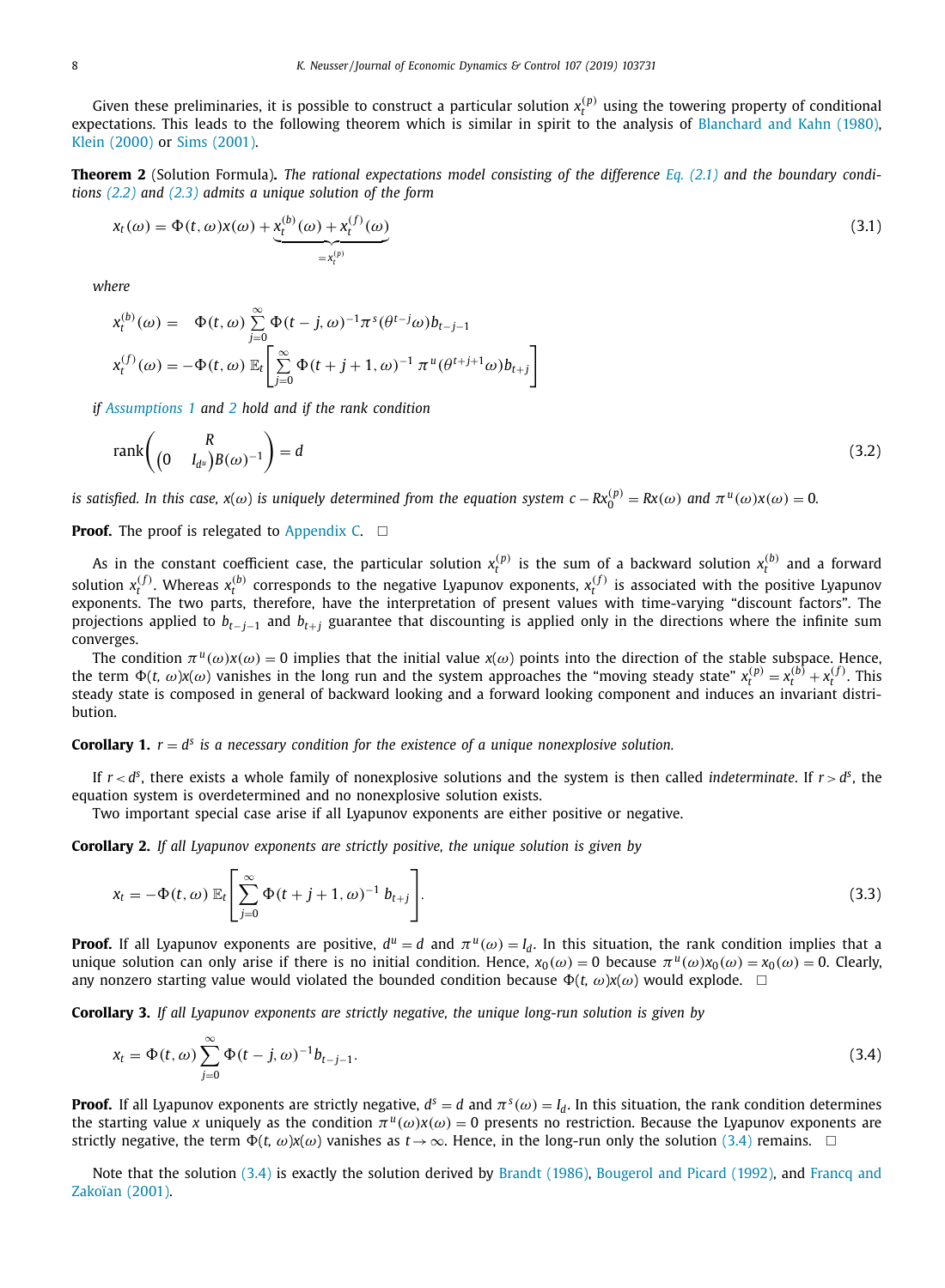<span id="page-7-0"></span>Given these preliminaries, it is possible to construct a particular solution  $x_r^{(p)}$  using the towering property of conditional expectations. This leads to the following theorem which is similar in spirit to the analysis of [Blanchard](#page-15-0) and Kahn (1980), Klein [\(2000\)](#page-15-0) or Sims [\(2001\).](#page-16-0)

**Theorem 2** (Solution Formula). The rational expectations model consisting of the difference Eq. [\(2.1\)](#page-2-0) and the boundary condi*tions [\(2.2\)](#page-4-0) and [\(2.3\)](#page-4-0) admits a unique solution of the form*

$$
x_t(\omega) = \Phi(t, \omega)x(\omega) + \underbrace{x_t^{(b)}(\omega)}_{=x_t^{(p)}} + x_t^{(f)}(\omega)
$$
\n(3.1)

*where*

$$
\begin{aligned}\n\mathbf{x}_{t}^{(b)}(\omega) &= \Phi(t,\omega) \sum_{j=0}^{\infty} \Phi(t-j,\omega)^{-1} \pi^{s} (\theta^{t-j}\omega) b_{t-j-1} \\
\mathbf{x}_{t}^{(f)}(\omega) &= -\Phi(t,\omega) \mathbb{E}_{t} \left[ \sum_{j=0}^{\infty} \Phi(t+j+1,\omega)^{-1} \pi^{u} (\theta^{t+j+1}\omega) b_{t+j} \right]\n\end{aligned}
$$

*if [Assumptions](#page-3-0) 1 and [2](#page-6-0) hold and if the rank condition*

$$
\text{rank}\left(\begin{pmatrix} R \\ \left(0 & I_{d^u}\right)B(\omega)^{-1} \end{pmatrix} = d \tag{3.2}
$$

is satisfied. In this case,  $x(\omega)$  is uniquely determined from the equation system  $c-Rx_0^{(p)}=Rx(\omega)$  and  $\pi^u(\omega)x(\omega)=0$ .

## **Proof.** The proof is relegated to  $Appendix$   $C. \Box$

As in the constant coefficient case, the particular solution  $x_t^{(p)}$  is the sum of a backward solution  $x_t^{(b)}$  and a forward solution  $x_t^{(f)}$ . Whereas  $x_t^{(b)}$  corresponds to the negative Lyapunov exponents,  $x_t^{(f)}$  is associated with the positive Lyapunov exponents. The two parts, therefore, have the interpretation of present values with time-varying "discount factors". The projections applied to *bt*−*j*−<sup>1</sup> and *bt*+*<sup>j</sup>* guarantee that discounting is applied only in the directions where the infinite sum converges.

The condition  $\pi^u(\omega)x(\omega) = 0$  implies that the initial value  $x(\omega)$  points into the direction of the stable subspace. Hence, the term  $\Phi(t, \omega)x(\omega)$  vanishes in the long run and the system approaches the "moving steady state"  $x_t^{(p)} = x_t^{(b)} + x_t^{(f)}$ . This steady state is composed in general of backward looking and a forward looking component and induces an invariant distribution.

## **Corollary 1.**  $r = d^s$  is a necessary condition for the existence of a unique nonexplosive solution.

If  $r < d^s$ , there exists a whole family of nonexplosive solutions and the system is then called *indeterminate*. If  $r > d^s$ , the equation system is overdetermined and no nonexplosive solution exists.

Two important special case arise if all Lyapunov exponents are either positive or negative.

**Corollary 2.** *If all Lyapunov exponents are strictly positive, the unique solution is given by*

$$
x_t = -\Phi(t, \omega) \mathbb{E}_t \left[ \sum_{j=0}^{\infty} \Phi(t + j + 1, \omega)^{-1} b_{t+j} \right].
$$
\n(3.3)

**Proof.** If all Lyapunov exponents are positive,  $d^u = d$  and  $\pi^u(\omega) = I_d$ . In this situation, the rank condition implies that a unique solution can only arise if there is no initial condition. Hence,  $x_0(\omega) = 0$  because  $\pi^u(\omega)x_0(\omega) = x_0(\omega) = 0$ . Clearly, any nonzero starting value would violated the bounded condition because  $\Phi(t, \omega)x(\omega)$  would explode.  $\Box$ 

**Corollary 3.** *If all Lyapunov exponents are strictly negative, the unique long-run solution is given by*

$$
x_t = \Phi(t, \omega) \sum_{j=0}^{\infty} \Phi(t - j, \omega)^{-1} b_{t-j-1}.
$$
\n(3.4)

**Proof.** If all Lyapunov exponents are strictly negative,  $d^s = d$  and  $\pi^s(\omega) = I_d$ . In this situation, the rank condition determines the starting value x uniquely as the condition  $\pi^u(\omega)x(\omega) = 0$  presents no restriction. Because the Lyapunov exponents are strictly negative, the term  $\Phi(t, \omega) x(\omega)$  vanishes as  $t \to \infty$ . Hence, in the long-run only the solution (3.4) remains.  $\Box$ 

Note that the solution (3.4) is exactly the solution derived by Brandt [\(1986\),](#page-15-0) [Bougerol](#page-15-0) and Picard (1992), and Francq and Zakoïan (2001).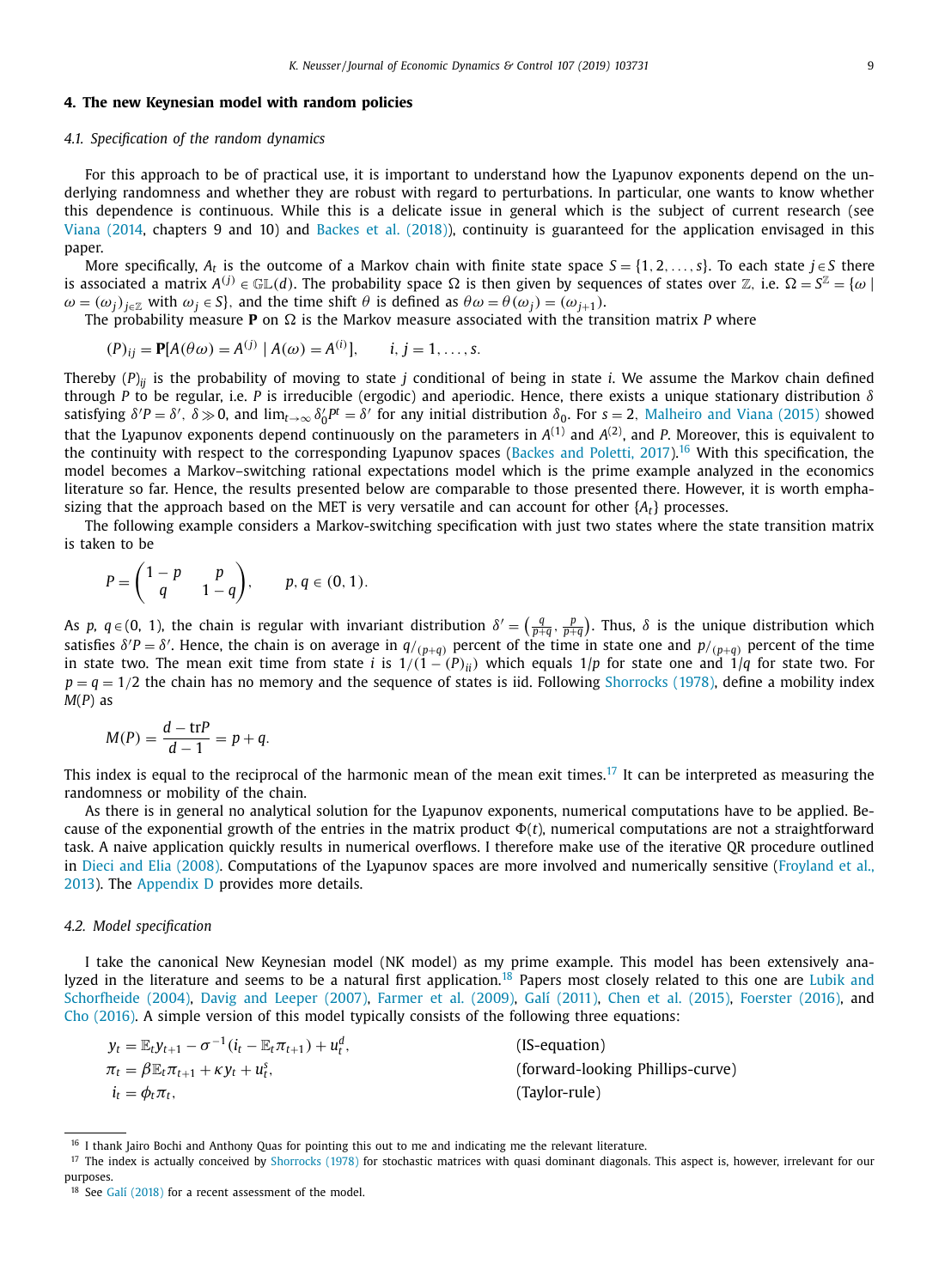## <span id="page-8-0"></span>**4. The new Keynesian model with random policies**

## *4.1. Specification of the random dynamics*

For this approach to be of practical use, it is important to understand how the Lyapunov exponents depend on the underlying randomness and whether they are robust with regard to perturbations. In particular, one wants to know whether this dependence is continuous. While this is a delicate issue in general which is the subject of current research (see Viana [\(2014,](#page-16-0) chapters 9 and 10) and [Backes](#page-15-0) et al. (2018)), continuity is guaranteed for the application envisaged in this paper.

More specifically,  $A_t$  is the outcome of a Markov chain with finite state space  $S = \{1, 2, \ldots, s\}$ . To each state  $j \in S$  there is associated a matrix  $A^{(j)} \in \mathbb{GL}(d)$ . The probability space  $\Omega$  is then given by sequences of states over Z, i.e.  $\Omega = S^{\mathbb{Z}} = \{\omega \mid \omega\}$  $\omega = (\omega_j)_{j \in \mathbb{Z}}$  with  $\omega_j \in S$ , and the time shift  $\theta$  is defined as  $\theta \omega = \theta(\omega_j) = (\omega_{j+1})$ .

The probability measure **P** on  $\Omega$  is the Markov measure associated with the transition matrix *P* where

$$
(P)_{ij} = P[A(\theta \omega) = A^{(j)} | A(\omega) = A^{(i)}], \quad i, j = 1, ..., s.
$$

Thereby (*P*)*ij* is the probability of moving to state *j* conditional of being in state *i*. We assume the Markov chain defined through *P* to be regular, i.e. *P* is irreducible (ergodic) and aperiodic. Hence, there exists a unique stationary distribution δ satisfying  $\delta'P = \delta'$ ,  $\delta \gg 0$ , and  $\lim_{t\to\infty} \delta'_0P^t = \delta'$  for any initial distribution  $\delta_0$ . For  $s = 2$ , [Malheiro](#page-16-0) and Viana (2015) showed that the Lyapunov exponents depend continuously on the parameters in  $A^{(1)}$  and  $A^{(2)}$ , and P. Moreover, this is equivalent to the continuity with respect to the corresponding Lyapunov spaces (Backes and [Poletti,](#page-15-0) 2017).<sup>16</sup> With this specification, the model becomes a Markov–switching rational expectations model which is the prime example analyzed in the economics literature so far. Hence, the results presented below are comparable to those presented there. However, it is worth emphasizing that the approach based on the MET is very versatile and can account for other {*At*} processes.

The following example considers a Markov-switching specification with just two states where the state transition matrix is taken to be

$$
P=\begin{pmatrix}1-p&p\\q&1-q\end{pmatrix},\qquad p,q\in(0,1).
$$

As *p*,  $q \in (0, 1)$ , the chain is regular with invariant distribution  $\delta' = \left(\frac{q}{p+q}, \frac{p}{p+q}\right)$ . Thus,  $\delta$  is the unique distribution which satisfies  $\delta'P = \delta'$ . Hence, the chain is on average in  $q/_{(p+q)}$  percent of the time in state one and  $p/_{(p+q)}$  percent of the time in state two. The mean exit time from state *i* is  $1/(1 - (P)_{ii})$  which equals  $1/p$  for state one and  $1/q$  for state two. For  $p = q = 1/2$  the chain has no memory and the sequence of states is iid. Following [Shorrocks](#page-16-0) (1978), define a mobility index *M*(*P*) as

$$
M(P) = \frac{d - \text{tr}P}{d - 1} = p + q.
$$

This index is equal to the reciprocal of the harmonic mean of the mean exit times.<sup>17</sup> It can be interpreted as measuring the randomness or mobility of the chain.

As there is in general no analytical solution for the Lyapunov exponents, numerical computations have to be applied. Because of the exponential growth of the entries in the matrix product  $\Phi(t)$ , numerical computations are not a straightforward task. A naive application quickly results in numerical overflows. I therefore make use of the iterative QR procedure outlined in Dieci and Elia [\(2008\).](#page-15-0) [Computations](#page-15-0) of the Lyapunov spaces are more involved and numerically sensitive (Froyland et al., 2013). The [Appendix](#page-14-0) D provides more details.

#### *4.2. Model specification*

I take the canonical New Keynesian model (NK model) as my prime example. This model has been extensively analyzed in the literature and seems to be a natural first application.<sup>18</sup> Papers most closely related to this one are Lubik and Schorfheide (2004), Davig and Leeper [\(2007\),](#page-15-0) [Farmer](#page-15-0) et al. (2009), [Galí \(2011\),](#page-15-0) Chen et al. [\(2015\),](#page-15-0) [Foerster](#page-15-0) (2016), and Cho [\(2016\).](#page-15-0) A simple version of this model typically consists of the following three equations:

| $y_t = \mathbb{E}_t y_{t+1} - \sigma^{-1} (i_t - \mathbb{E}_t \pi_{t+1}) + u_t^d$ | (IS-equation)                    |
|-----------------------------------------------------------------------------------|----------------------------------|
| $\pi_t = \beta \mathbb{E}_t \pi_{t+1} + \kappa y_t + u_t^s,$                      | (forward-looking Phillips-curve) |
| $i_t = \phi_t \pi_t$                                                              | (Taylor-rule)                    |

<sup>&</sup>lt;sup>16</sup> I thank Jairo Bochi and Anthony Quas for pointing this out to me and indicating me the relevant literature.

<sup>&</sup>lt;sup>17</sup> The index is actually conceived by [Shorrocks](#page-16-0) (1978) for stochastic matrices with quasi dominant diagonals. This aspect is, however, irrelevant for our purposes.

<sup>&</sup>lt;sup>18</sup> See [Galí \(2018\)](#page-15-0) for a recent assessment of the model.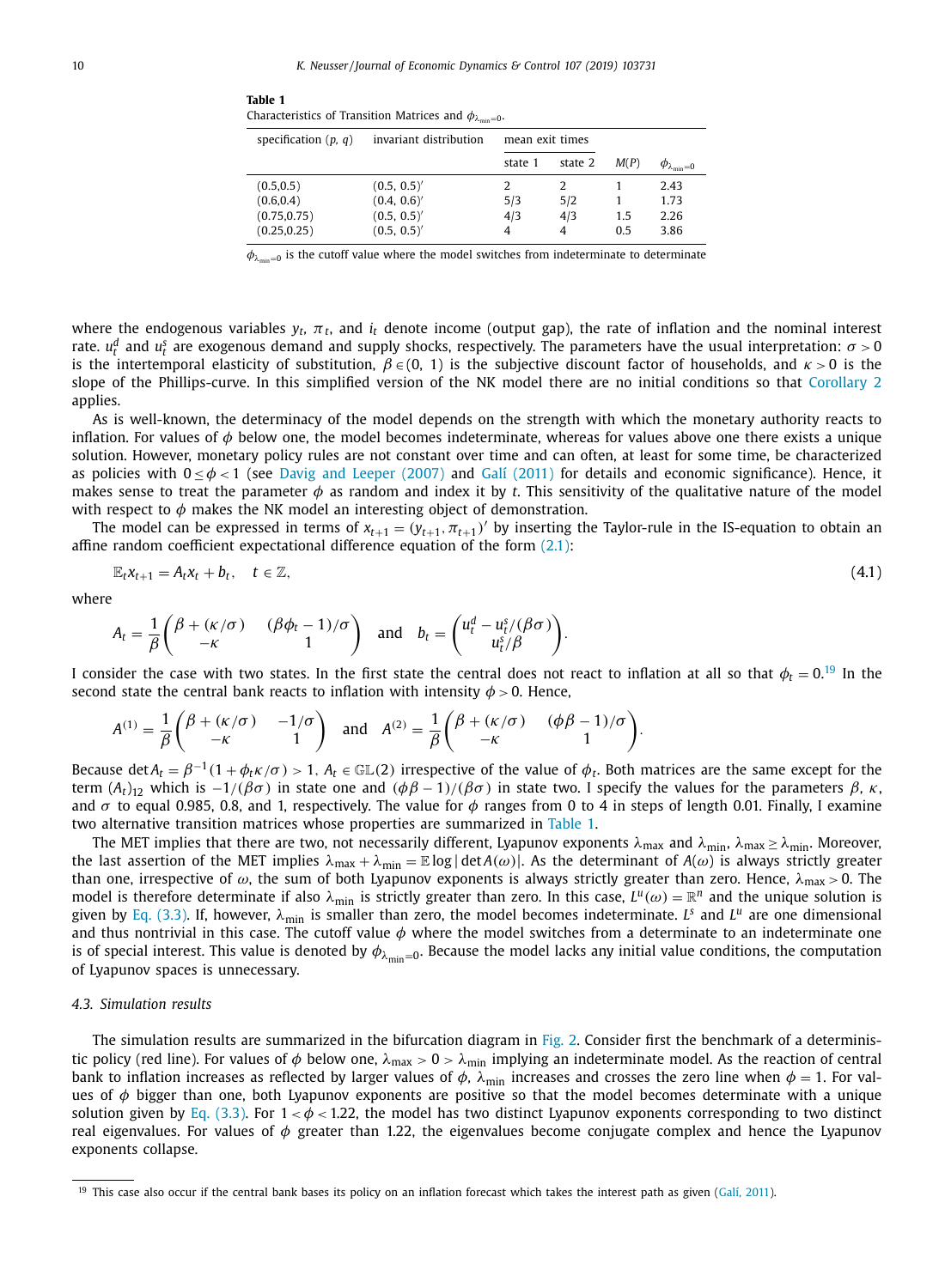<span id="page-9-0"></span>

| Table 1                                                                |  |  |
|------------------------------------------------------------------------|--|--|
| Characteristics of Transition Matrices and $\phi_{\lambda_{\min}=0}$ . |  |  |

| specification $(p, q)$ | invariant distribution | mean exit times |         |      |                              |
|------------------------|------------------------|-----------------|---------|------|------------------------------|
|                        |                        | state 1         | state 2 | M(P) | $\varphi_{\lambda_{\min}=0}$ |
| (0.5, 0.5)             | (0.5, 0.5)'            | 2               |         |      | 2.43                         |
| (0.6, 0.4)             | (0.4, 0.6)'            | 5/3             | 5/2     |      | 1.73                         |
| (0.75, 0.75)           | (0.5, 0.5)'            | 4/3             | 4/3     | 1.5  | 2.26                         |
| (0.25, 0.25)           | (0.5, 0.5)'            | 4               |         | 0.5  | 3.86                         |

 $\phi_{\lambda_{\min}=0}$  is the cutoff value where the model switches from indeterminate to determinate

where the endogenous variables  $y_t$ ,  $\pi_t$ , and  $i_t$  denote income (output gap), the rate of inflation and the nominal interest rate.  $u_t^d$  and  $u_t^s$  are exogenous demand and supply shocks, respectively. The parameters have the usual interpretation:  $\sigma > 0$ is the intertemporal elasticity of substitution,  $\beta \in (0, 1)$  is the subjective discount factor of households, and  $\kappa > 0$  is the slope of the Phillips-curve. In this simplified version of the NK model there are no initial conditions so that [Corollary](#page-7-0) 2 applies.

As is well-known, the determinacy of the model depends on the strength with which the monetary authority reacts to inflation. For values of  $\phi$  below one, the model becomes indeterminate, whereas for values above one there exists a unique solution. However, monetary policy rules are not constant over time and can often, at least for some time, be characterized as policies with  $0 < \phi < 1$  (see Davig and [Leeper](#page-15-0) (2007) and [Galí \(2011\)](#page-15-0) for details and economic significance). Hence, it makes sense to treat the parameter  $\phi$  as random and index it by *t*. This sensitivity of the qualitative nature of the model with respect to  $\phi$  makes the NK model an interesting object of demonstration.

The model can be expressed in terms of  $x_{t+1} = (y_{t+1}, \pi_{t+1})'$  by inserting the Taylor-rule in the IS-equation to obtain an affine random coefficient expectational difference equation of the form  $(2.1)$ :

$$
\mathbb{E}_t x_{t+1} = A_t x_t + b_t, \quad t \in \mathbb{Z}, \tag{4.1}
$$

where

$$
A_t = \frac{1}{\beta} \begin{pmatrix} \beta + (\kappa/\sigma) & (\beta \phi_t - 1)/\sigma \\ -\kappa & 1 \end{pmatrix} \text{ and } b_t = \begin{pmatrix} u_t^d - u_t^s/(\beta \sigma) \\ u_t^s/\beta \end{pmatrix}.
$$

I consider the case with two states. In the first state the central does not react to inflation at all so that  $\phi_t=0.^{19}$  In the second state the central bank reacts to inflation with intensity  $\phi > 0$ . Hence,

$$
A^{(1)} = \frac{1}{\beta} \begin{pmatrix} \beta + (\kappa/\sigma) & -1/\sigma \\ -\kappa & 1 \end{pmatrix} \text{ and } A^{(2)} = \frac{1}{\beta} \begin{pmatrix} \beta + (\kappa/\sigma) & (\phi\beta - 1)/\sigma \\ -\kappa & 1 \end{pmatrix}.
$$

Because det  $A_t = \beta^{-1}(1+\phi_t\kappa/\sigma) > 1$ ,  $A_t \in \mathbb{GL}(2)$  irrespective of the value of  $\phi_t$ . Both matrices are the same except for the term  $(A_t)_{12}$  which is  $-\frac{1}{(\beta \sigma)}$  in state one and  $(\phi \beta - 1)/(\beta \sigma)$  in state two. I specify the values for the parameters  $\beta$ , κ, and  $\sigma$  to equal 0.985, 0.8, and 1, respectively. The value for  $\phi$  ranges from 0 to 4 in steps of length 0.01. Finally, I examine two alternative transition matrices whose properties are summarized in Table 1.

The MET implies that there are two, not necessarily different, Lyapunov exponents  $\lambda_{max}$  and  $\lambda_{min}$ ,  $\lambda_{max} \ge \lambda_{min}$ . Moreover, the last assertion of the MET implies  $\lambda_{\text{max}} + \lambda_{\text{min}} = \mathbb{E} \log |\det A(\omega)|$ . As the determinant of  $A(\omega)$  is always strictly greater than one, irrespective of  $\omega$ , the sum of both Lyapunov exponents is always strictly greater than zero. Hence,  $\lambda_{\text{max}} > 0$ . The model is therefore determinate if also  $\lambda_{min}$  is strictly greater than zero. In this case,  $L^u(\omega) = \mathbb{R}^n$  and the unique solution is given by Eq. [\(3.3\).](#page-7-0) If, however,  $\lambda_{\min}$  is smaller than zero, the model becomes indeterminate. *L*<sup>s</sup> and *L<sup>u</sup>* are one dimensional and thus nontrivial in this case. The cutoff value  $\phi$  where the model switches from a determinate to an indeterminate one is of special interest. This value is denoted by  $\phi_{\lambda_{\min}=0}$ . Because the model lacks any initial value conditions, the computation of Lyapunov spaces is unnecessary.

## *4.3. Simulation results*

The simulation results are summarized in the bifurcation diagram in [Fig.](#page-10-0) 2. Consider first the benchmark of a deterministic policy (red line). For values of  $\phi$  below one,  $\lambda_{\text{max}} > 0 > \lambda_{\text{min}}$  implying an indeterminate model. As the reaction of central bank to inflation increases as reflected by larger values of  $\phi$ ,  $\lambda_{\rm min}$  increases and crosses the zero line when  $\phi = 1$ . For values of  $\phi$  bigger than one, both Lyapunov exponents are positive so that the model becomes determinate with a unique solution given by Eq. [\(3.3\).](#page-7-0) For  $1 < \phi < 1.22$ , the model has two distinct Lyapunov exponents corresponding to two distinct real eigenvalues. For values of  $\phi$  greater than 1.22, the eigenvalues become conjugate complex and hence the Lyapunov exponents collapse.

<sup>&</sup>lt;sup>19</sup> This case also occur if the central bank bases its policy on an inflation forecast which takes the interest path as given (Galí, [2011\)](#page-15-0).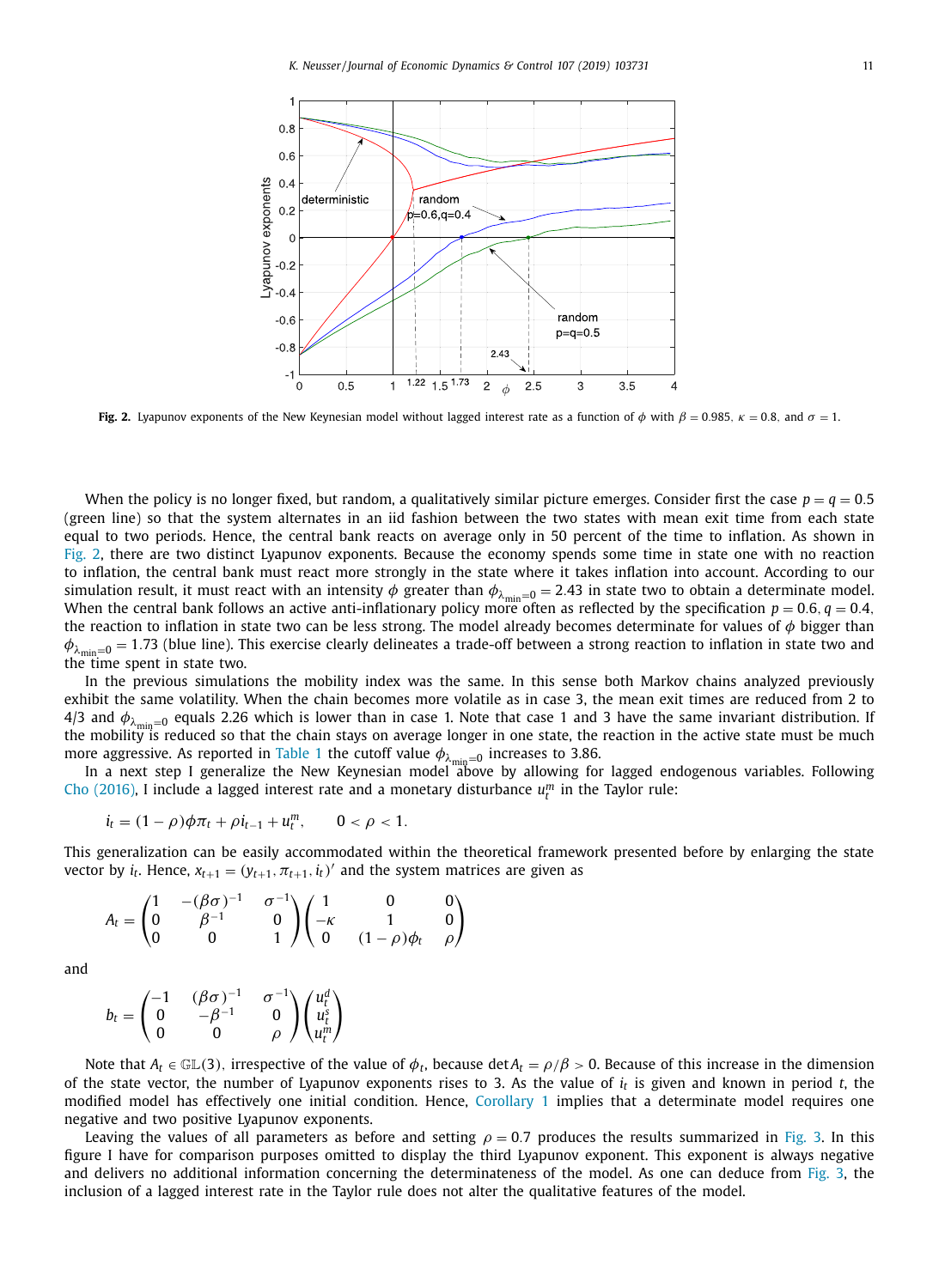<span id="page-10-0"></span>

**Fig. 2.** Lyapunov exponents of the New Keynesian model without lagged interest rate as a function of  $\phi$  with  $\beta = 0.985$ ,  $\kappa = 0.8$ , and  $\sigma = 1$ .

When the policy is no longer fixed, but random, a qualitatively similar picture emerges. Consider first the case  $p = q = 0.5$ (green line) so that the system alternates in an iid fashion between the two states with mean exit time from each state equal to two periods. Hence, the central bank reacts on average only in 50 percent of the time to inflation. As shown in Fig. 2, there are two distinct Lyapunov exponents. Because the economy spends some time in state one with no reaction to inflation, the central bank must react more strongly in the state where it takes inflation into account. According to our simulation result, it must react with an intensity  $\phi$  greater than  $\phi_{\lambda_{min}=0} = 2.43$  in state two to obtain a determinate model. When the central bank follows an active anti-inflationary policy more often as reflected by the specification  $p = 0.6$ ,  $q = 0.4$ , the reaction to inflation in state two can be less strong. The model already becomes determinate for values of  $\phi$  bigger than  $\phi_{\lambda_{\min}=0}$  = 1.73 (blue line). This exercise clearly delineates a trade-off between a strong reaction to inflation in state two and the time spent in state two.

In the previous simulations the mobility index was the same. In this sense both Markov chains analyzed previously exhibit the same volatility. When the chain becomes more volatile as in case 3, the mean exit times are reduced from 2 to 4/3 and  $\phi_{\lambda_{\text{min}}=0}$  equals 2.26 which is lower than in case 1. Note that case 1 and 3 have the same invariant distribution. If the mobility is reduced so that the chain stays on average longer in one state, the reaction in the active state must be much more aggressive. As reported in [Table](#page-9-0) 1 the cutoff value  $\phi_{\lambda_{\text{min}}=0}$  increases to 3.86.

In a next step I generalize the New Keynesian model above by allowing for lagged endogenous variables. Following Cho [\(2016\),](#page-15-0) I include a lagged interest rate and a monetary disturbance  $u_t^m$  in the Taylor rule:

$$
i_t = (1 - \rho)\phi\pi_t + \rho i_{t-1} + u_t^m, \qquad 0 < \rho < 1.
$$

This generalization can be easily accommodated within the theoretical framework presented before by enlarging the state vector by  $i_t$ . Hence,  $x_{t+1} = (y_{t+1}, \pi_{t+1}, i_t)'$  and the system matrices are given as

$$
A_t = \begin{pmatrix} 1 & -(\beta \sigma)^{-1} & \sigma^{-1} \\ 0 & \beta^{-1} & 0 \\ 0 & 0 & 1 \end{pmatrix} \begin{pmatrix} 1 & 0 & 0 \\ -\kappa & 1 & 0 \\ 0 & (1-\rho)\phi_t & \rho \end{pmatrix}
$$

and

$$
b_t = \begin{pmatrix} -1 & (\beta \sigma)^{-1} & \sigma^{-1} \\ 0 & -\beta^{-1} & 0 \\ 0 & 0 & \rho \end{pmatrix} \begin{pmatrix} u_t^d \\ u_t^s \\ u_t^m \end{pmatrix}
$$

Note that  $A_t \in \mathbb{GL}(3)$ , irrespective of the value of  $\phi_t$ , because det  $A_t = \rho/\beta > 0$ . Because of this increase in the dimension of the state vector, the number of Lyapunov exponents rises to 3. As the value of *i<sup>t</sup>* is given and known in period *t*, the modified model has effectively one initial condition. Hence, [Corollary](#page-7-0) 1 implies that a determinate model requires one negative and two positive Lyapunov exponents.

Leaving the values of all parameters as before and setting  $\rho = 0.7$  produces the results summarized in [Fig.](#page-11-0) 3. In this figure I have for comparison purposes omitted to display the third Lyapunov exponent. This exponent is always negative and delivers no additional information concerning the determinateness of the model. As one can deduce from [Fig.](#page-11-0) 3, the inclusion of a lagged interest rate in the Taylor rule does not alter the qualitative features of the model.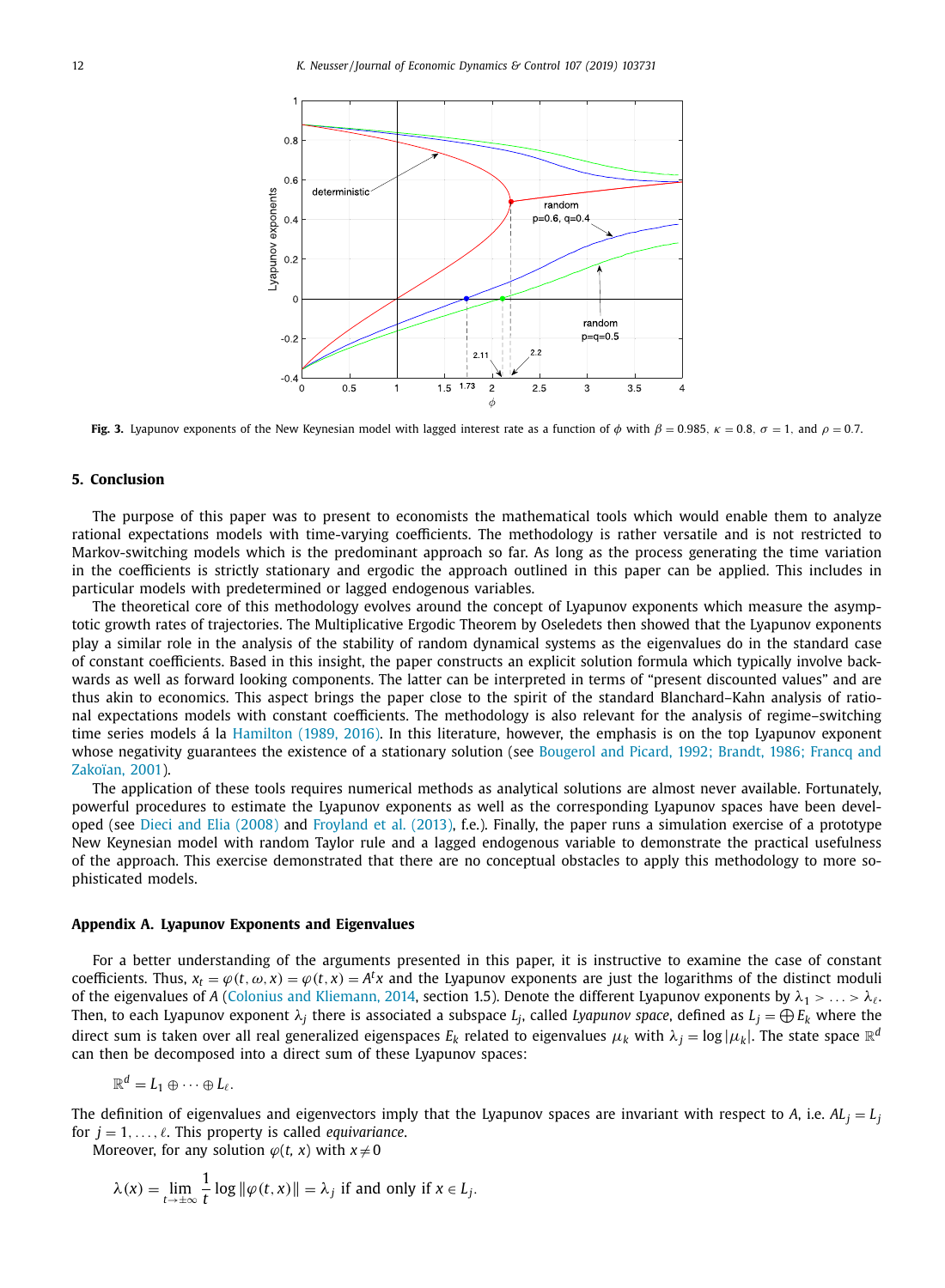<span id="page-11-0"></span>

**Fig. 3.** Lyapunov exponents of the New Keynesian model with lagged interest rate as a function of  $\phi$  with  $\beta = 0.985$ ,  $\kappa = 0.8$ ,  $\sigma = 1$ , and  $\rho = 0.7$ .

#### **5. Conclusion**

The purpose of this paper was to present to economists the mathematical tools which would enable them to analyze rational expectations models with time-varying coefficients. The methodology is rather versatile and is not restricted to Markov-switching models which is the predominant approach so far. As long as the process generating the time variation in the coefficients is strictly stationary and ergodic the approach outlined in this paper can be applied. This includes in particular models with predetermined or lagged endogenous variables.

The theoretical core of this methodology evolves around the concept of Lyapunov exponents which measure the asymptotic growth rates of trajectories. The Multiplicative Ergodic Theorem by Oseledets then showed that the Lyapunov exponents play a similar role in the analysis of the stability of random dynamical systems as the eigenvalues do in the standard case of constant coefficients. Based in this insight, the paper constructs an explicit solution formula which typically involve backwards as well as forward looking components. The latter can be interpreted in terms of "present discounted values" and are thus akin to economics. This aspect brings the paper close to the spirit of the standard Blanchard–Kahn analysis of rational expectations models with constant coefficients. The methodology is also relevant for the analysis of regime–switching time series models á la [Hamilton](#page-15-0) (1989, 2016). In this literature, however, the emphasis is on the top Lyapunov exponent whose negativity [guarantees](#page-15-0) the existence of a stationary solution (see Bougerol and Picard, 1992; Brandt, 1986; Francq and Zakoïan, 2001).

The application of these tools requires numerical methods as analytical solutions are almost never available. Fortunately, powerful procedures to estimate the Lyapunov exponents as well as the corresponding Lyapunov spaces have been developed (see Dieci and Elia [\(2008\)](#page-15-0) and [Froyland](#page-15-0) et al. (2013), f.e.). Finally, the paper runs a simulation exercise of a prototype New Keynesian model with random Taylor rule and a lagged endogenous variable to demonstrate the practical usefulness of the approach. This exercise demonstrated that there are no conceptual obstacles to apply this methodology to more sophisticated models.

## **Appendix A. Lyapunov Exponents and Eigenvalues**

For a better understanding of the arguments presented in this paper, it is instructive to examine the case of constant coefficients. Thus,  $x_t = \varphi(t, \omega, x) = \varphi(t, x) = A^t x$  and the Lyapunov exponents are just the logarithms of the distinct moduli of the eigenvalues of *A* (Colonius and [Kliemann,](#page-15-0) 2014, section 1.5). Denote the different Lyapunov exponents by  $\lambda_1 > \ldots > \lambda_\ell$ . Then, to each Lyapunov exponent  $\lambda_j$  there is associated a subspace  $L_j$ , called Lyapunov space, defined as  $L_j = \bigoplus E_k$  where the direct sum is taken over all real generalized eigenspaces  $E_k$  related to eigenvalues  $\mu_k$  with  $\lambda_j = \log |\mu_k|$ . The state space  $\R^d$ can then be decomposed into a direct sum of these Lyapunov spaces:

$$
\mathbb{R}^d=L_1\oplus\cdots\oplus L_\ell.
$$

The definition of eigenvalues and eigenvectors imply that the Lyapunov spaces are invariant with respect to A, i.e.  $AL_i = L_i$ for  $j = 1, \ldots, \ell$ . This property is called *equivariance*.

Moreover, for any solution  $\varphi(t, x)$  with  $x \neq 0$ 

$$
\lambda(x) = \lim_{t \to \pm \infty} \frac{1}{t} \log \| \varphi(t, x) \| = \lambda_j \text{ if and only if } x \in L_j.
$$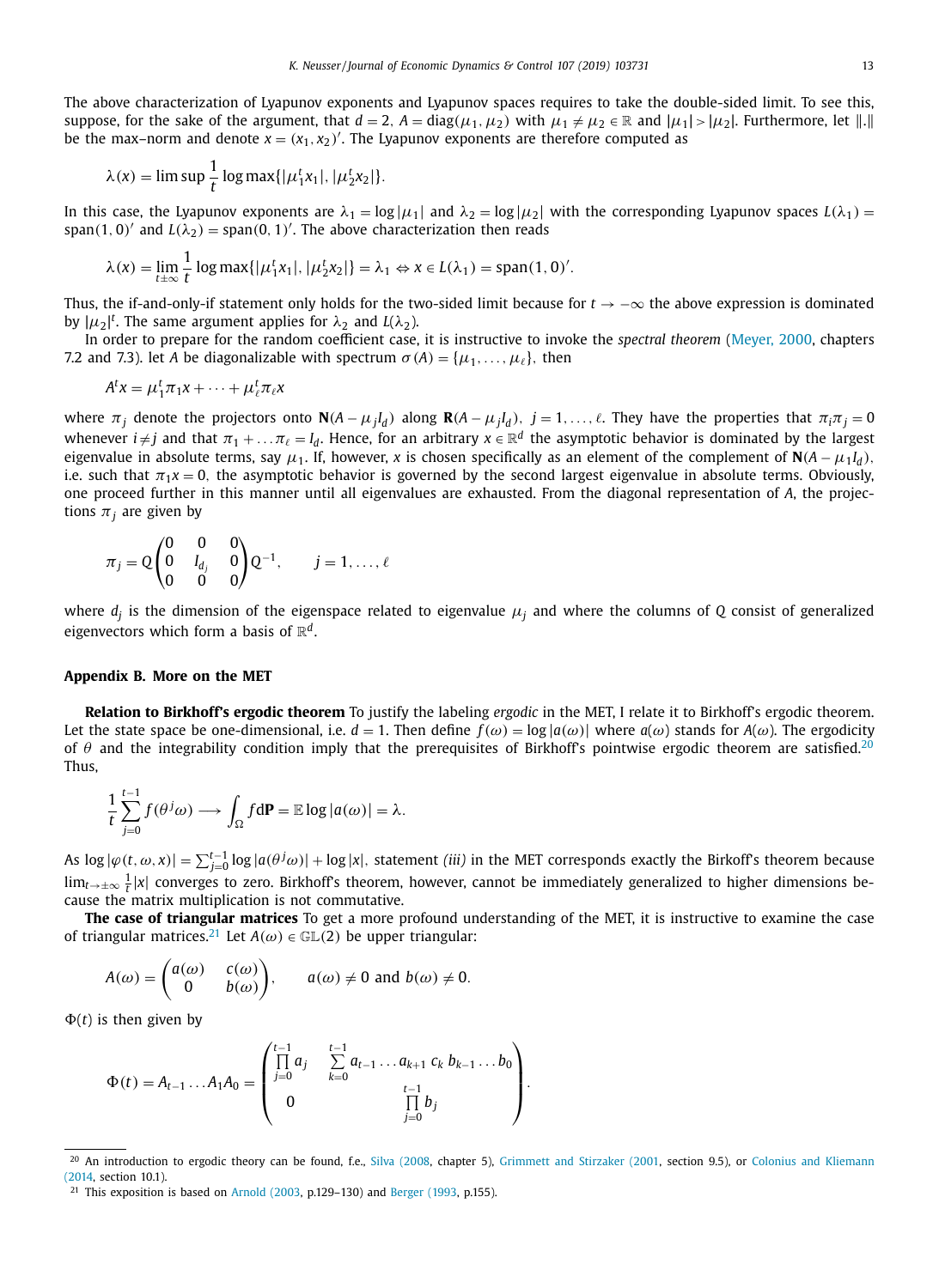<span id="page-12-0"></span>The above characterization of Lyapunov exponents and Lyapunov spaces requires to take the double-sided limit. To see this, suppose, for the sake of the argument, that  $d=2$ ,  $A=diag(\mu_1,\mu_2)$  with  $\mu_1\neq\mu_2\in\mathbb{R}$  and  $|\mu_1|>|\mu_2|$ . Furthermore, let  $\|.\|$ be the max–norm and denote  $x = (x_1, x_2)'$ . The Lyapunov exponents are therefore computed as

$$
\lambda(x) = \limsup \frac{1}{t} \log \max\{|\mu_1^t x_1|, |\mu_2^t x_2|\}.
$$

In this case, the Lyapunov exponents are  $\lambda_1 = \log|\mu_1|$  and  $\lambda_2 = \log|\mu_2|$  with the corresponding Lyapunov spaces  $L(\lambda_1)$  = span(1, 0)<sup> $\prime$ </sup> and  $L(\lambda_2)$  = span(0, 1)<sup> $\prime$ </sup>. The above characterization then reads

$$
\lambda(x) = \lim_{t \to \infty} \frac{1}{t} \log \max\{|\mu_1^t x_1|, |\mu_2^t x_2|\} = \lambda_1 \Leftrightarrow x \in L(\lambda_1) = \text{span}(1, 0)'
$$

Thus, the if-and-only-if statement only holds for the two-sided limit because for  $t \rightarrow -\infty$  the above expression is dominated by  $|\mu_2|^t$ . The same argument applies for  $\lambda_2$  and  $L(\lambda_2)$ .

In order to prepare for the random coefficient case, it is instructive to invoke the *spectral theorem* [\(Meyer,](#page-16-0) 2000, chapters 7.2 and 7.3). let *A* be diagonalizable with spectrum  $\sigma(A) = {\mu_1, \ldots, \mu_\ell}$ , then

$$
A^t x = \mu_1^t \pi_1 x + \dots + \mu_\ell^t \pi_\ell x
$$

where  $\pi_j$  denote the projectors onto  $\mathbf{N}(A - \mu_j I_d)$  along  $\mathbf{R}(A - \mu_j I_d)$ ,  $j = 1, \ldots, \ell$ . They have the properties that  $\pi_i \pi_j = 0$ whenever  $i\neq j$  and that  $\pi_1+\dots\pi_\ell=l_d.$  Hence, for an arbitrary  $x\in\R^d$  the asymptotic behavior is dominated by the largest eigenvalue in absolute terms, say  $\mu_1$ . If, however, *x* is chosen specifically as an element of the complement of  $N(A - \mu_1 I_d)$ , i.e. such that  $\pi_1 x = 0$ , the asymptotic behavior is governed by the second largest eigenvalue in absolute terms. Obviously, one proceed further in this manner until all eigenvalues are exhausted. From the diagonal representation of *A*, the projections  $\pi$ <sub>*i*</sub> are given by

$$
\pi_j = Q \begin{pmatrix} 0 & 0 & 0 \\ 0 & I_{d_j} & 0 \\ 0 & 0 & 0 \end{pmatrix} Q^{-1}, \qquad j = 1, \dots, \ell
$$

where *d<sup>j</sup>* is the dimension of the eigenspace related to eigenvalue μ*<sup>j</sup>* and where the columns of *Q* consist of generalized eigenvectors which form a basis of  $\mathbb{R}^d$ .

### **Appendix B. More on the MET**

**Relation to Birkhoff's ergodic theorem** To justify the labeling *ergodic* in the MET, I relate it to Birkhoff's ergodic theorem. Let the state space be one-dimensional, i.e.  $d = 1$ . Then define  $f(\omega) = \log |a(\omega)|$  where  $a(\omega)$  stands for  $A(\omega)$ . The ergodicity of  $\theta$  and the integrability condition imply that the prerequisites of Birkhoff's pointwise ergodic theorem are satisfied.<sup>20</sup> Thus,

$$
\frac{1}{t}\sum_{j=0}^{t-1}f(\theta^j\omega)\longrightarrow \int_{\Omega}f\mathrm{d}\mathbf{P}=\mathbb{E}\log|a(\omega)|=\lambda.
$$

As  $\log |\varphi(t,\omega,x)| = \sum_{j=0}^{t-1} \log |a(\theta^j\omega)| + \log |x|$ , statement *(iii)* in the MET corresponds exactly the Birkoff's theorem because lim<sub>t→±∞</sub>  $\frac{1}{t}$ |x| converges to zero. Birkhoff's theorem, however, cannot be immediately generalized to higher dimensions because the matrix multiplication is not commutative.

**The case of triangular matrices** To get a more profound understanding of the MET, it is instructive to examine the case of triangular matrices.<sup>21</sup> Let  $A(\omega) \in \mathbb{GL}(2)$  be upper triangular:

$$
A(\omega) = \begin{pmatrix} a(\omega) & c(\omega) \\ 0 & b(\omega) \end{pmatrix}, \quad a(\omega) \neq 0 \text{ and } b(\omega) \neq 0.
$$

 $\Phi(t)$  is then given by

$$
\Phi(t) = A_{t-1} \dots A_1 A_0 = \begin{pmatrix} t-1 & t-1 \\ \prod_{j=0}^{t-1} a_j & \sum_{k=0}^{t-1} a_{t-1} \dots a_{k+1} c_k b_{k-1} \dots b_0 \\ 0 & \prod_{j=0}^{t-1} b_j \end{pmatrix}.
$$

<sup>&</sup>lt;sup>20</sup> An [introduction](#page-15-0) to ergodic theory can be found, f.e., Silva [\(2008,](#page-16-0) chapter 5), [Grimmett](#page-15-0) and Stirzaker (2001, section 9.5), or Colonius and Kliemann (2014, section 10.1).

<sup>21</sup> This exposition is based on [Arnold](#page-15-0) (2003, p.129–130) and [Berger](#page-15-0) (1993, p.155).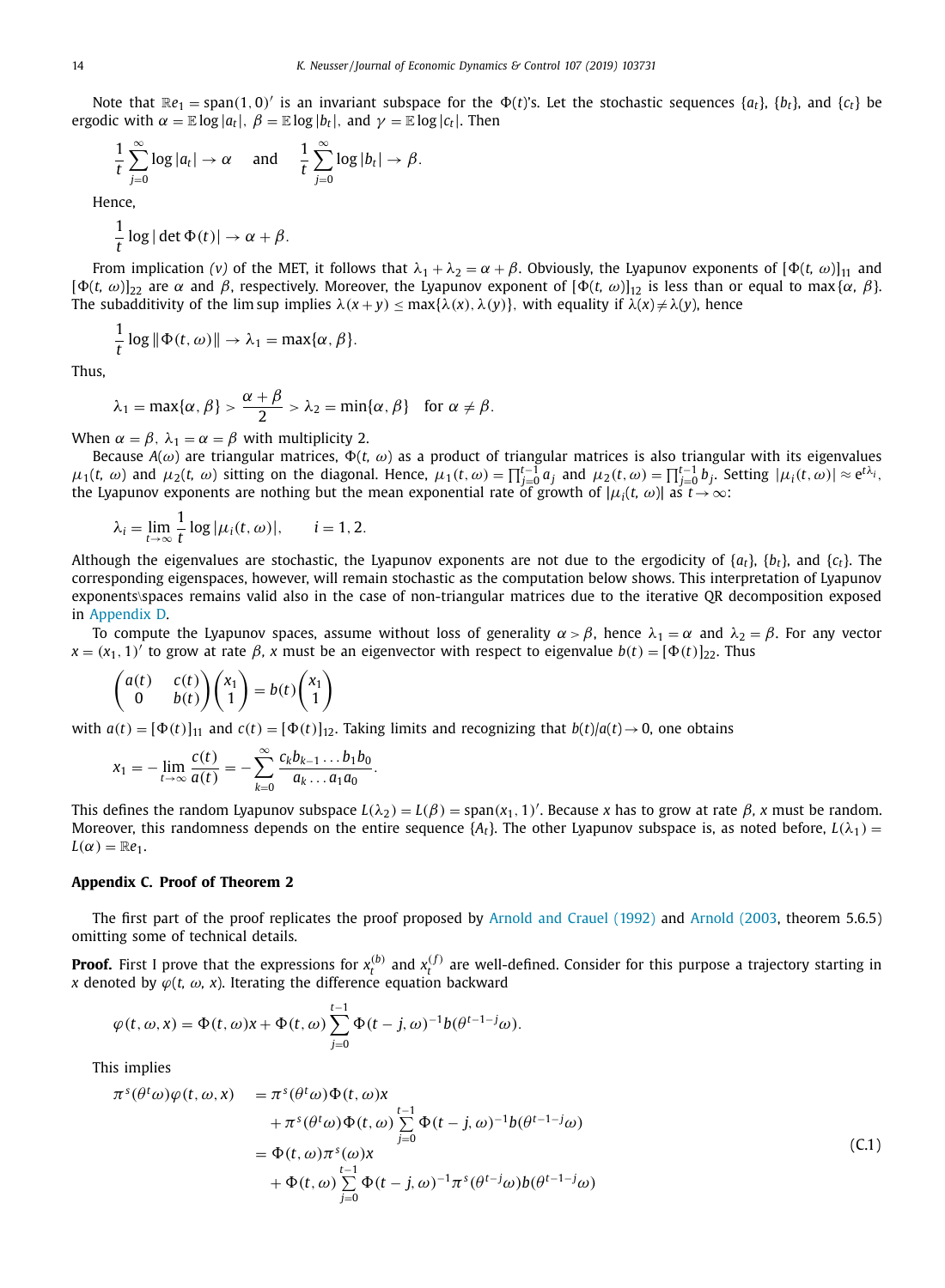<span id="page-13-0"></span>Note that  $\mathbb{R}e_1$  = span(1,0)' is an invariant subspace for the  $\Phi(t)$ 's. Let the stochastic sequences  $\{a_t\}$ ,  $\{b_t\}$ , and  $\{c_t\}$  be ergodic with  $\alpha = \mathbb{E} \log |a_t|$ ,  $\beta = \mathbb{E} \log |b_t|$ , and  $\gamma = \mathbb{E} \log |c_t|$ . Then

$$
\frac{1}{t}\sum_{j=0}^{\infty}\log|a_t|\to\alpha\quad\text{and}\quad\frac{1}{t}\sum_{j=0}^{\infty}\log|b_t|\to\beta.
$$

Hence,

1  $\frac{1}{t}$  log | det  $\Phi(t)$ |  $\rightarrow \alpha + \beta$ .

From implication (*v*) of the MET, it follows that  $\lambda_1 + \lambda_2 = \alpha + \beta$ . Obviously, the Lyapunov exponents of  $[\Phi(t, \omega)]_{11}$  and  $[\Phi(t, \omega)]_{22}$  are  $\alpha$  and  $\beta$ , respectively. Moreover, the Lyapunov exponent of  $[\Phi(t, \omega)]_{12}$  is less than or equal to max { $\alpha$ ,  $\beta$ }. The subadditivity of the lim sup implies  $\lambda(x+y) \leq \max{\lambda(x), \lambda(y)}$ , with equality if  $\lambda(x) \neq \lambda(y)$ , hence

$$
\frac{1}{t}\log\|\Phi(t,\omega)\|\to\lambda_1=\max\{\alpha,\beta\}.
$$

Thus,

$$
\lambda_1 = \max{\lbrace \alpha, \beta \rbrace} > \frac{\alpha + \beta}{2} > \lambda_2 = \min{\lbrace \alpha, \beta \rbrace}
$$
 for  $\alpha \neq \beta$ .

When  $\alpha = \beta$ ,  $\lambda_1 = \alpha = \beta$  with multiplicity 2.

Because  $A(\omega)$  are triangular matrices,  $\Phi(t, \omega)$  as a product of triangular matrices is also triangular with its eigenvalues  $\mu_1(t, \omega)$  and  $\mu_2(t, \omega)$  sitting on the diagonal. Hence,  $\mu_1(t, \omega) = \prod_{j=0}^{t-1} a_j$  and  $\mu_2(t, \omega) = \prod_{j=0}^{t-1} b_j$ . Setting  $|\mu_i(t, \omega)| \approx e^{t\lambda_i}$ , the Lyapunov exponents are nothing but the mean exponential rate of growth of  $|\mu_i(t, \, \omega)|$  as  $t$   $\rightarrow$   $\infty$ :

$$
\lambda_i = \lim_{t \to \infty} \frac{1}{t} \log |\mu_i(t, \omega)|, \qquad i = 1, 2.
$$

Although the eigenvalues are stochastic, the Lyapunov exponents are not due to the ergodicity of {*at*}, {*bt*}, and {*ct*}. The corresponding eigenspaces, however, will remain stochastic as the computation below shows. This interpretation of Lyapunov exponents\spaces remains valid also in the case of non-triangular matrices due to the iterative QR decomposition exposed in [Appendix](#page-14-0) D.

To compute the Lyapunov spaces, assume without loss of generality  $\alpha > \beta$ , hence  $\lambda_1 = \alpha$  and  $\lambda_2 = \beta$ . For any vector  $x = (x_1, 1)'$  to grow at rate  $\beta$ , *x* must be an eigenvector with respect to eigenvalue  $b(t) = [\Phi(t)]_{22}$ . Thus

$$
\begin{pmatrix} a(t) & c(t) \\ 0 & b(t) \end{pmatrix} \begin{pmatrix} x_1 \\ 1 \end{pmatrix} = b(t) \begin{pmatrix} x_1 \\ 1 \end{pmatrix}
$$

with  $a(t) = [\Phi(t)]_{11}$  and  $c(t) = [\Phi(t)]_{12}$ . Taking limits and recognizing that  $b(t)/a(t) \rightarrow 0$ , one obtains

$$
x_1=-\lim_{t\to\infty}\frac{c(t)}{a(t)}=-\sum_{k=0}^{\infty}\frac{c_kb_{k-1}\dots b_1b_0}{a_k\dots a_1a_0}.
$$

This defines the random Lyapunov subspace  $L(\lambda_2) = L(\beta) = \text{span}(x_1, 1)'$ . Because *x* has to grow at rate  $\beta$ , *x* must be random. Moreover, this randomness depends on the entire sequence  $\{A_t\}$ . The other Lyapunov subspace is, as noted before,  $L(\lambda_1)$  =  $L(\alpha) = \mathbb{R}e_1$ .

#### **Appendix C. Proof of Theorem 2**

The first part of the proof replicates the proof proposed by [Arnold](#page-15-0) and Crauel (1992) and [Arnold](#page-15-0) (2003, theorem 5.6.5) omitting some of technical details.

**Proof.** First I prove that the expressions for  $x_t^{(b)}$  and  $x_t^{(f)}$  are well-defined. Consider for this purpose a trajectory starting in *x* denoted by  $\varphi(t, \omega, x)$ . Iterating the difference equation backward

$$
\varphi(t,\omega,x)=\Phi(t,\omega)x+\Phi(t,\omega)\sum_{j=0}^{t-1}\Phi(t-j,\omega)^{-1}b(\theta^{t-1-j}\omega).
$$

This implies

$$
\pi^{s}(\theta^{t}\omega)\varphi(t,\omega,x) = \pi^{s}(\theta^{t}\omega)\Phi(t,\omega)x \n+ \pi^{s}(\theta^{t}\omega)\Phi(t,\omega)\sum_{j=0}^{t-1}\Phi(t-j,\omega)^{-1}b(\theta^{t-1-j}\omega) \n= \Phi(t,\omega)\pi^{s}(\omega)x \n+ \Phi(t,\omega)\sum_{j=0}^{t-1}\Phi(t-j,\omega)^{-1}\pi^{s}(\theta^{t-j}\omega)b(\theta^{t-1-j}\omega)
$$
\n(C.1)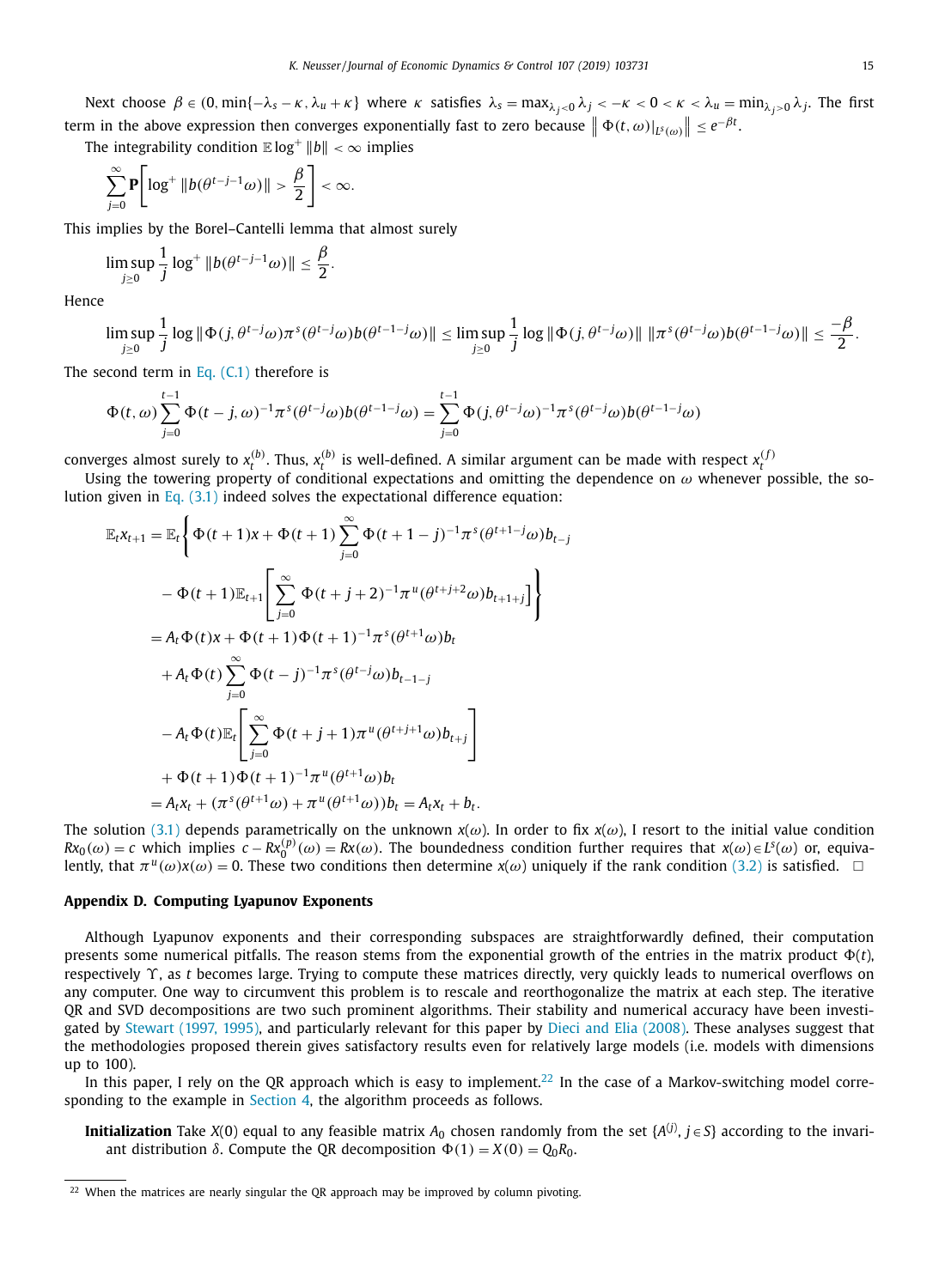<span id="page-14-0"></span>Next choose  $\beta \in (0, \min\{-\lambda_s - \kappa, \lambda_u + \kappa\}$  where  $\kappa$  satisfies  $\lambda_s = \max_{\lambda_j < 0} \lambda_j < -\kappa < 0 < \kappa < \lambda_u = \min_{\lambda_j > 0} \lambda_j$ . The first term in the above expression then converges exponentially fast to zero because  $\left\|\Phi(t,\omega)|_{L^s(\omega)}\right\| \leq e^{-\beta t}$ .

The integrability condition  $\mathbb{E} \log^+ \|b\| < \infty$  implies

$$
\sum_{j=0}^{\infty} \mathbf{P} \Bigg[ \log^+ \|b(\theta^{t-j-1}\omega)\| > \frac{\beta}{2} \Bigg] < \infty.
$$

This implies by the Borel–Cantelli lemma that almost surely

$$
\limsup_{j\geq 0}\frac{1}{j}\log^+\|b(\theta^{t-j-1}\omega)\|\leq \frac{\beta}{2}.
$$

Hence

$$
\limsup_{j\geq 0}\frac{1}{j}\log\|\Phi(j,\theta^{t-j}\omega)\pi^s(\theta^{t-j}\omega)b(\theta^{t-1-j}\omega)\|\leq \limsup_{j\geq 0}\frac{1}{j}\log\|\Phi(j,\theta^{t-j}\omega)\|\|\pi^s(\theta^{t-j}\omega)b(\theta^{t-1-j}\omega)\|\leq \frac{-\beta}{2}.
$$

The second term in Eq.  $(C.1)$  therefore is

$$
\Phi(t,\omega) \sum_{j=0}^{t-1} \Phi(t-j,\omega)^{-1} \pi^s (\theta^{t-j}\omega) b(\theta^{t-1-j}\omega) = \sum_{j=0}^{t-1} \Phi(j,\theta^{t-j}\omega)^{-1} \pi^s (\theta^{t-j}\omega) b(\theta^{t-1-j}\omega)
$$

converges almost surely to  $x_t^{(b)}$ . Thus,  $x_t^{(b)}$  is well-defined. A similar argument can be made with respect  $x_t^{(f)}$ 

Using the towering property of conditional expectations and omitting the dependence on  $\omega$  whenever possible, the solution given in Eq.  $(3.1)$  indeed solves the expectational difference equation:

$$
\mathbb{E}_{t}x_{t+1} = \mathbb{E}_{t} \Biggl\{ \Phi(t+1)x + \Phi(t+1) \sum_{j=0}^{\infty} \Phi(t+1-j)^{-1} \pi^{s} (\theta^{t+1-j} \omega) b_{t-j} \n- \Phi(t+1) \mathbb{E}_{t+1} \Biggl[ \sum_{j=0}^{\infty} \Phi(t+j+2)^{-1} \pi^{u} (\theta^{t+j+2} \omega) b_{t+1+j} \Biggr] \Biggr\} \n= A_{t} \Phi(t)x + \Phi(t+1) \Phi(t+1)^{-1} \pi^{s} (\theta^{t+1} \omega) b_{t} \n+ A_{t} \Phi(t) \sum_{j=0}^{\infty} \Phi(t-j)^{-1} \pi^{s} (\theta^{t-j} \omega) b_{t-1-j} \n- A_{t} \Phi(t) \mathbb{E}_{t} \Biggl[ \sum_{j=0}^{\infty} \Phi(t+j+1) \pi^{u} (\theta^{t+j+1} \omega) b_{t+j} \Biggr] \n+ \Phi(t+1) \Phi(t+1)^{-1} \pi^{u} (\theta^{t+1} \omega) b_{t} \n= A_{t}x_{t} + (\pi^{s} (\theta^{t+1} \omega) + \pi^{u} (\theta^{t+1} \omega)) b_{t} = A_{t}x_{t} + b_{t}.
$$

The solution [\(3.1\)](#page-7-0) depends parametrically on the unknown  $x(\omega)$ . In order to fix  $x(\omega)$ , I resort to the initial value condition  $Rx_0(\omega) = c$  which implies  $c - Rx_0^{(p)}(\omega) = Rx(\omega)$ . The boundedness condition further requires that  $x(\omega) \in L^s(\omega)$  or, equivalently, that  $\pi^u(\omega)x(\omega) = 0$ . These two conditions then determine  $x(\omega)$  uniquely if the rank condition [\(3.2\)](#page-7-0) is satisfied.  $\Box$ 

## **Appendix D. Computing Lyapunov Exponents**

Although Lyapunov exponents and their corresponding subspaces are straightforwardly defined, their computation presents some numerical pitfalls. The reason stems from the exponential growth of the entries in the matrix product  $\Phi(t)$ , respectively ϒ, as *t* becomes large. Trying to compute these matrices directly, very quickly leads to numerical overflows on any computer. One way to circumvent this problem is to rescale and reorthogonalize the matrix at each step. The iterative QR and SVD decompositions are two such prominent algorithms. Their stability and numerical accuracy have been investigated by [Stewart](#page-16-0) (1997, 1995), and particularly relevant for this paper by Dieci and Elia [\(2008\).](#page-15-0) These analyses suggest that the methodologies proposed therein gives satisfactory results even for relatively large models (i.e. models with dimensions up to 100).

In this paper, I rely on the QR approach which is easy to implement.<sup>22</sup> In the case of a Markov-switching model corresponding to the example in [Section](#page-8-0) 4, the algorithm proceeds as follows.

**Initialization** Take *X*(0) equal to any feasible matrix  $A_0$  chosen randomly from the set { $A^{(j)}, j \in S$ } according to the invariant distribution  $\delta$ . Compute the QR decomposition  $\Phi(1) = X(0) = Q_0 R_0$ .

 $22$  When the matrices are nearly singular the QR approach may be improved by column pivoting.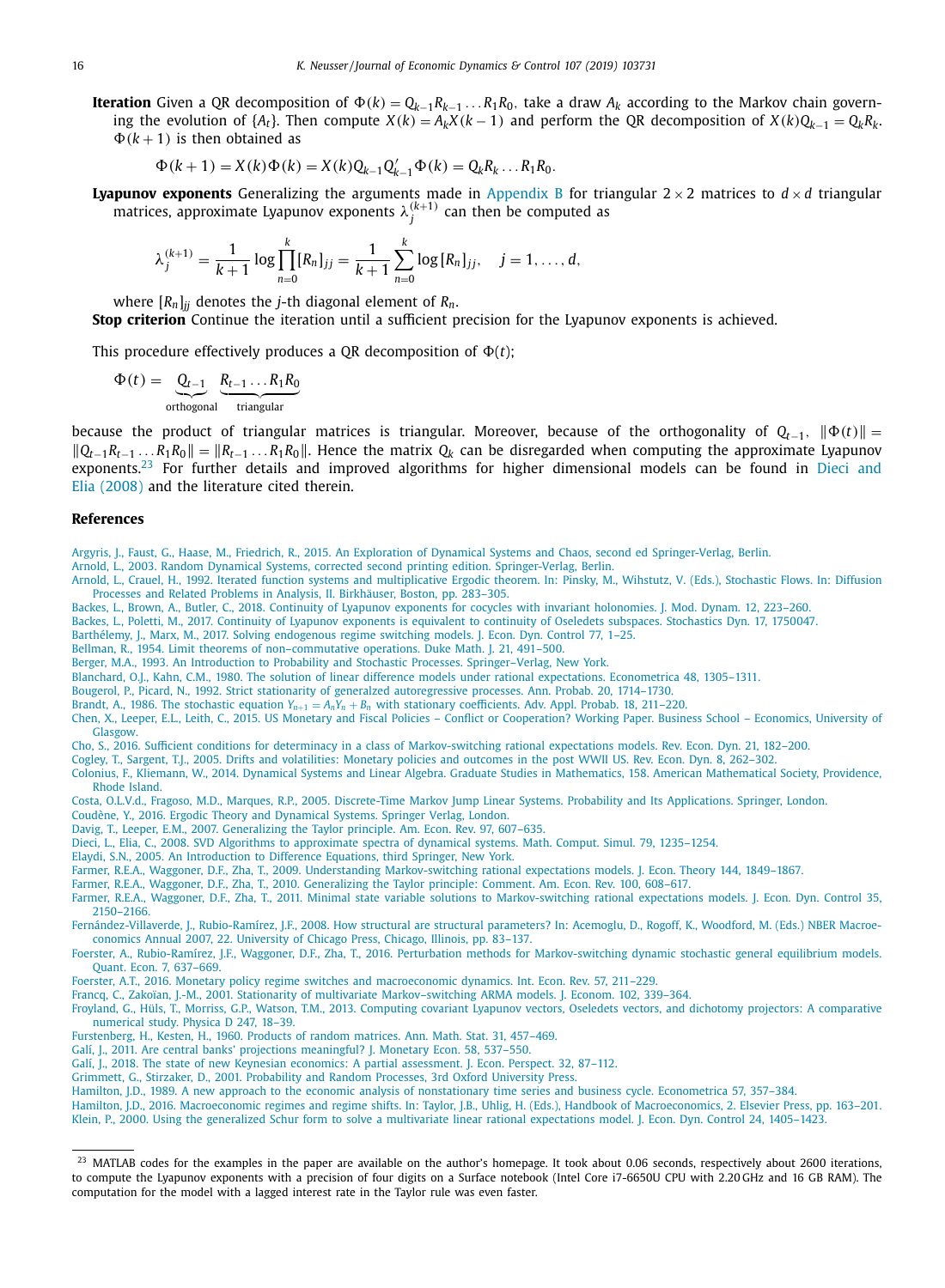<span id="page-15-0"></span>**Iteration** Given a QR decomposition of Ф(k) =  $Q_{k-1}R_{k-1}\ldots R_1R_0$ , take a draw  $A_k$  according to the Markov chain governing the evolution of { $A_t$ }. Then compute  $X(k) = A_k X(k-1)$  and perform the QR decomposition of  $X(k)Q_{k-1} = Q_k R_k$ .  $\Phi(k+1)$  is then obtained as

$$
\Phi(k+1) = X(k)\Phi(k) = X(k)Q_{k-1}Q'_{k-1}\Phi(k) = Q_kR_k...R_1R_0.
$$

**Lyapunov exponents** Generalizing the arguments made in [Appendix](#page-12-0) B for triangular  $2 \times 2$  matrices to  $d \times d$  triangular matrices, approximate Lyapunov exponents  $\lambda_j^{(k+1)}$  can then be computed as

$$
\lambda_j^{(k+1)} = \frac{1}{k+1} \log \prod_{n=0}^k [R_n]_{jj} = \frac{1}{k+1} \sum_{n=0}^k \log [R_n]_{jj}, \quad j = 1, \ldots, d,
$$

where  $[R_n]_{ij}$  denotes the *j*-th diagonal element of  $R_n$ .

**Stop criterion** Continue the iteration until a sufficient precision for the Lyapunov exponents is achieved.

This procedure effectively produces a QR decomposition of  $\Phi(t)$ ;

$$
\Phi(t) = \underbrace{Q_{t-1}}_{\text{orthogonal}} \underbrace{R_{t-1} \dots R_1 R_0}_{\text{triangular}}
$$

because the product of triangular matrices is triangular. Moreover, because of the orthogonality of  $Q_{t-1}$ ,  $\|\Phi(t)\|$  =  $|Q_{t-1}R_{t-1} \ldots R_1R_0| = |R_{t-1} \ldots R_1R_0|$ . Hence the matrix  $Q_k$  can be disregarded when computing the approximate Lyapunov exponents.<sup>23</sup> For further details and improved algorithms for higher dimensional models can be found in Dieci and Elia (2008) and the literature cited therein.

#### **References**

[Argyris,](http://refhub.elsevier.com/S0165-1889(19)30130-7/sbref0001) J., [Faust,](http://refhub.elsevier.com/S0165-1889(19)30130-7/sbref0001) G., [Haase,](http://refhub.elsevier.com/S0165-1889(19)30130-7/sbref0001) M., [Friedrich,](http://refhub.elsevier.com/S0165-1889(19)30130-7/sbref0001) R., 2015. An Exploration of Dynamical Systems and Chaos, second ed [Springer-Verlag,](http://refhub.elsevier.com/S0165-1889(19)30130-7/sbref0001) Berlin.

- [Arnold,](http://refhub.elsevier.com/S0165-1889(19)30130-7/sbref0002) L., 2003. Random Dynamical Systems, corrected second printing edition. [Springer-Verlag,](http://refhub.elsevier.com/S0165-1889(19)30130-7/sbref0002) Berlin.
- [Arnold,](http://refhub.elsevier.com/S0165-1889(19)30130-7/sbref0003) L., [Crauel,](http://refhub.elsevier.com/S0165-1889(19)30130-7/sbref0003) H., 1992. Iterated function systems and [multiplicative](http://refhub.elsevier.com/S0165-1889(19)30130-7/sbref0003) Ergodic theorem. In: Pinsky, M., Wihstutz, V. (Eds.), Stochastic Flows. In: Diffusion Processes and Related Problems in Analysis, II. Birkhäuser, Boston, pp. 283-305.
- [Backes,](http://refhub.elsevier.com/S0165-1889(19)30130-7/sbref0005a) L., [Brown,](http://refhub.elsevier.com/S0165-1889(19)30130-7/sbref0005a) A., [Butler,](http://refhub.elsevier.com/S0165-1889(19)30130-7/sbref0005a) C., 2018. Continuity of Lyapunov exponents for cocycles with invariant [holonomies.](http://refhub.elsevier.com/S0165-1889(19)30130-7/sbref0005a) J. Mod. Dynam. 12, 223–260.
- [Backes,](http://refhub.elsevier.com/S0165-1889(19)30130-7/sbref0005) L., [Poletti,](http://refhub.elsevier.com/S0165-1889(19)30130-7/sbref0005) M., 2017. Continuity of Lyapunov exponents is equivalent to continuity of Oseledets subspaces. [Stochastics](http://refhub.elsevier.com/S0165-1889(19)30130-7/sbref0005) Dyn. 17, 1750047.

[Barthélemy,](http://refhub.elsevier.com/S0165-1889(19)30130-7/sbref0006) J., [Marx,](http://refhub.elsevier.com/S0165-1889(19)30130-7/sbref0006) M., 2017. Solving [endogenous](http://refhub.elsevier.com/S0165-1889(19)30130-7/sbref0006) regime switching models. J. Econ. Dyn. Control 77, 1–25.

[Bellman,](http://refhub.elsevier.com/S0165-1889(19)30130-7/sbref0007) R., 1954. Limit theorems of [non–commutative](http://refhub.elsevier.com/S0165-1889(19)30130-7/sbref0007) operations. Duke Math. J. 21, 491–500.

[Berger,](http://refhub.elsevier.com/S0165-1889(19)30130-7/sbref0008) M.A., 1993. An Introduction to Probability and Stochastic Processes. [Springer–Verlag,](http://refhub.elsevier.com/S0165-1889(19)30130-7/sbref0008) New York.

[Blanchard,](http://refhub.elsevier.com/S0165-1889(19)30130-7/sbref0009) O.J., [Kahn,](http://refhub.elsevier.com/S0165-1889(19)30130-7/sbref0009) C.M., 1980. The solution of linear difference models under rational expectations. [Econometrica](http://refhub.elsevier.com/S0165-1889(19)30130-7/sbref0009) 48, 1305–1311.

[Bougerol,](http://refhub.elsevier.com/S0165-1889(19)30130-7/sbref0010) P., [Picard,](http://refhub.elsevier.com/S0165-1889(19)30130-7/sbref0010) N., 1992. Strict stationarity of generalzed [autoregressive](http://refhub.elsevier.com/S0165-1889(19)30130-7/sbref0010) processes. Ann. Probab. 20, 1714–1730.

[Brandt,](http://refhub.elsevier.com/S0165-1889(19)30130-7/sbref0011) A., 1986. The stochastic equation Y<sub>n+1</sub> = A<sub>n</sub>Y<sub>n</sub> + B<sub>n</sub> with stationary [coefficients.](http://refhub.elsevier.com/S0165-1889(19)30130-7/sbref0011) Adv. Appl. Probab. 18, 211–220.<br>[Chen,](http://refhub.elsevier.com/S0165-1889(19)30130-7/sbref0012) X., [Leeper,](http://refhub.elsevier.com/S0165-1889(19)30130-7/sbref0012) E.L., [Leith,](http://refhub.elsevier.com/S0165-1889(19)30130-7/sbref0012) C., 2015. US Monetary and Fiscal Policies – Conflict or Cooper Glasgow.

[Cho,](http://refhub.elsevier.com/S0165-1889(19)30130-7/sbref0013) S., 2016. Sufficient conditions for determinacy in a class of [Markov-switching](http://refhub.elsevier.com/S0165-1889(19)30130-7/sbref0013) rational expectations models. Rev. Econ. Dyn. 21, 182–200.

[Cogley,](http://refhub.elsevier.com/S0165-1889(19)30130-7/sbref0014) T., [Sargent,](http://refhub.elsevier.com/S0165-1889(19)30130-7/sbref0014) T.J., 2005. Drifts and [volatilities:](http://refhub.elsevier.com/S0165-1889(19)30130-7/sbref0014) Monetary policies and outcomes in the post WWII US. Rev. Econ. Dyn. 8, 262–302. [Colonius,](http://refhub.elsevier.com/S0165-1889(19)30130-7/sbref0015) F., [Kliemann,](http://refhub.elsevier.com/S0165-1889(19)30130-7/sbref0015) W., 2014. Dynamical Systems and Linear Algebra. Graduate Studies in Mathematics, 158. American [Mathematical](http://refhub.elsevier.com/S0165-1889(19)30130-7/sbref0015) Society, Providence,

Rhode Island.

Costa, [O.L.V.d.,](http://refhub.elsevier.com/S0165-1889(19)30130-7/sbref0016) [Fragoso,](http://refhub.elsevier.com/S0165-1889(19)30130-7/sbref0016) M.D., [Marques,](http://refhub.elsevier.com/S0165-1889(19)30130-7/sbref0016) R.P., 2005. [Discrete-Time](http://refhub.elsevier.com/S0165-1889(19)30130-7/sbref0016) Markov Jump Linear Systems. Probability and Its Applications. Springer, London.

[Coudène,](http://refhub.elsevier.com/S0165-1889(19)30130-7/sbref0017) Y., 2016. Ergodic Theory and [Dynamical](http://refhub.elsevier.com/S0165-1889(19)30130-7/sbref0017) Systems. Springer Verlag, London.

[Davig,](http://refhub.elsevier.com/S0165-1889(19)30130-7/sbref0018) T., [Leeper,](http://refhub.elsevier.com/S0165-1889(19)30130-7/sbref0018) E.M., 2007. [Generalizing](http://refhub.elsevier.com/S0165-1889(19)30130-7/sbref0018) the Taylor principle. Am. Econ. Rev. 97, 607–635.

- [Dieci,](http://refhub.elsevier.com/S0165-1889(19)30130-7/sbref0019) L., [Elia,](http://refhub.elsevier.com/S0165-1889(19)30130-7/sbref0019) C., 2008. SVD Algorithms to [approximate](http://refhub.elsevier.com/S0165-1889(19)30130-7/sbref0019) spectra of dynamical systems. Math. Comput. Simul. 79, 1235–1254.
- [Elaydi,](http://refhub.elsevier.com/S0165-1889(19)30130-7/sbref0020) S.N., 2005. An [Introduction](http://refhub.elsevier.com/S0165-1889(19)30130-7/sbref0020) to Difference Equations, third Springer, New York.

[Farmer,](http://refhub.elsevier.com/S0165-1889(19)30130-7/sbref0021) R.E.A., [Waggoner,](http://refhub.elsevier.com/S0165-1889(19)30130-7/sbref0021) D.F., [Zha,](http://refhub.elsevier.com/S0165-1889(19)30130-7/sbref0021) T., 2009. Understanding [Markov-switching](http://refhub.elsevier.com/S0165-1889(19)30130-7/sbref0021) rational expectations models. J. Econ. Theory 144, 1849–1867.

[Farmer,](http://refhub.elsevier.com/S0165-1889(19)30130-7/sbref0022) R.E.A., [Waggoner,](http://refhub.elsevier.com/S0165-1889(19)30130-7/sbref0022) D.F., [Zha,](http://refhub.elsevier.com/S0165-1889(19)30130-7/sbref0022) T., 2010. [Generalizing](http://refhub.elsevier.com/S0165-1889(19)30130-7/sbref0022) the Taylor principle: Comment. Am. Econ. Rev. 100, 608–617.

[Farmer,](http://refhub.elsevier.com/S0165-1889(19)30130-7/sbref0023) R.E.A., [Waggoner,](http://refhub.elsevier.com/S0165-1889(19)30130-7/sbref0023) D.F., [Zha,](http://refhub.elsevier.com/S0165-1889(19)30130-7/sbref0023) T., 2011. Minimal state variable solutions to [Markov-switching](http://refhub.elsevier.com/S0165-1889(19)30130-7/sbref0023) rational expectations models. J. Econ. Dyn. Control 35, 2150–2166.

[Fernández-Villaverde,](http://refhub.elsevier.com/S0165-1889(19)30130-7/sbref0024) J., [Rubio-Ramírez,](http://refhub.elsevier.com/S0165-1889(19)30130-7/sbref0024) J.F., 2008. How structural are structural parameters? In: Acemoglu, D., Rogoff, K., Woodford, M. (Eds.) NBER Macroeconomics Annual 2007, 22. University of Chicago Press, Chicago, Illinois, pp. 83–137.

[Foerster,](http://refhub.elsevier.com/S0165-1889(19)30130-7/sbref0025) A., [Rubio-Ramírez,](http://refhub.elsevier.com/S0165-1889(19)30130-7/sbref0025) J.F., [Waggoner,](http://refhub.elsevier.com/S0165-1889(19)30130-7/sbref0025) D.F., [Zha,](http://refhub.elsevier.com/S0165-1889(19)30130-7/sbref0025) T., 2016. Perturbation methods for [Markov-switching](http://refhub.elsevier.com/S0165-1889(19)30130-7/sbref0025) dynamic stochastic general equilibrium models. Quant. Econ. 7, 637–669.

[Foerster,](http://refhub.elsevier.com/S0165-1889(19)30130-7/sbref0026) A.T., 2016. Monetary policy regime switches and [macroeconomic](http://refhub.elsevier.com/S0165-1889(19)30130-7/sbref0026) dynamics. Int. Econ. Rev. 57, 211–229.

[Francq,](http://refhub.elsevier.com/S0165-1889(19)30130-7/sbref0027) C., [Zakoïan,](http://refhub.elsevier.com/S0165-1889(19)30130-7/sbref0027) J.-M., 2001. Stationarity of multivariate [Markov–switching](http://refhub.elsevier.com/S0165-1889(19)30130-7/sbref0027) ARMA models. J. Econom. 102, 339–364.

[Froyland,](http://refhub.elsevier.com/S0165-1889(19)30130-7/sbref0028) G., [Hüls,](http://refhub.elsevier.com/S0165-1889(19)30130-7/sbref0028) T., [Morriss,](http://refhub.elsevier.com/S0165-1889(19)30130-7/sbref0028) G.P., [Watson,](http://refhub.elsevier.com/S0165-1889(19)30130-7/sbref0028) T.M., 2013. Computing covariant Lyapunov vectors, Oseledets vectors, and dichotomy projectors: A [comparative](http://refhub.elsevier.com/S0165-1889(19)30130-7/sbref0028) numerical study. Physica D 247, 18–39.

[Furstenberg,](http://refhub.elsevier.com/S0165-1889(19)30130-7/sbref0029) H., [Kesten,](http://refhub.elsevier.com/S0165-1889(19)30130-7/sbref0029) H., 1960. Products of random [matrices.](http://refhub.elsevier.com/S0165-1889(19)30130-7/sbref0029) Ann. Math. Stat. 31, 457–469.

[Galí,](http://refhub.elsevier.com/S0165-1889(19)30130-7/sbref0030) J., 2011. Are central banks' projections [meaningful?](http://refhub.elsevier.com/S0165-1889(19)30130-7/sbref0030) J. Monetary Econ. 58, 537–550.

[Galí,](http://refhub.elsevier.com/S0165-1889(19)30130-7/sbref0031) J., 2018. The state of new Keynesian economics: A partial [assessment.](http://refhub.elsevier.com/S0165-1889(19)30130-7/sbref0031) J. Econ. Perspect. 32, 87–112.

[Grimmett,](http://refhub.elsevier.com/S0165-1889(19)30130-7/sbref0032) G., [Stirzaker,](http://refhub.elsevier.com/S0165-1889(19)30130-7/sbref0032) D., 2001. [Probability](http://refhub.elsevier.com/S0165-1889(19)30130-7/sbref0032) and Random Processes, 3rd Oxford University Press.

[Hamilton,](http://refhub.elsevier.com/S0165-1889(19)30130-7/sbref0033) J.D., 1989. A new approach to the economic analysis of [nonstationary](http://refhub.elsevier.com/S0165-1889(19)30130-7/sbref0033) time series and business cycle. Econometrica 57, 357–384.

[Hamilton,](http://refhub.elsevier.com/S0165-1889(19)30130-7/sbref0034) J.D., 2016. Macroeconomic regimes and regime shifts. In: Taylor, J.B., Uhlig, H. (Eds.), Handbook of [Macroeconomics,](http://refhub.elsevier.com/S0165-1889(19)30130-7/sbref0034) 2. Elsevier Press, pp. 163–201. [Klein,](http://refhub.elsevier.com/S0165-1889(19)30130-7/sbref0035) P., 2000. Using the generalized Schur form to solve a multivariate linear rational [expectations](http://refhub.elsevier.com/S0165-1889(19)30130-7/sbref0035) model. J. Econ. Dyn. Control 24, 1405–1423.

<sup>&</sup>lt;sup>23</sup> MATLAB codes for the examples in the paper are available on the author's homepage. It took about 0.06 seconds, respectively about 2600 iterations, to compute the Lyapunov exponents with a precision of four digits on a Surface notebook (Intel Core i7-6650U CPU with 2.20 GHz and 16 GB RAM). The computation for the model with a lagged interest rate in the Taylor rule was even faster.